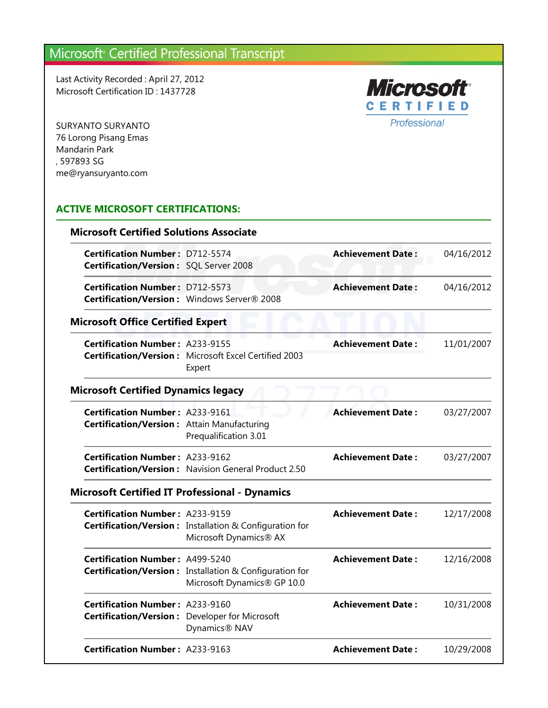Last Activity Recorded : April 27, 2012 Microsoft Certification ID : 1437728



SURYANTO SURYANTO 76 Lorong Pisang Emas Mandarin Park , 597893 SG me@ryansuryanto.com

#### **ACTIVE MICROSOFT CERTIFICATIONS:**

| <b>Microsoft Certified Solutions Associate</b>                                          |                                                                                        |                          |            |
|-----------------------------------------------------------------------------------------|----------------------------------------------------------------------------------------|--------------------------|------------|
| <b>Certification Number: D712-5574</b><br><b>Certification/Version: SQL Server 2008</b> |                                                                                        | <b>Achievement Date:</b> | 04/16/2012 |
| <b>Certification Number: D712-5573</b>                                                  | Certification/Version: Windows Server® 2008                                            | <b>Achievement Date:</b> | 04/16/2012 |
| <b>Microsoft Office Certified Expert</b>                                                |                                                                                        |                          |            |
| <b>Certification Number: A233-9155</b>                                                  | <b>Certification/Version:</b> Microsoft Excel Certified 2003<br>Expert                 | <b>Achievement Date:</b> | 11/01/2007 |
| <b>Microsoft Certified Dynamics legacy</b>                                              |                                                                                        |                          |            |
| <b>Certification Number: A233-9161</b><br>Certification/Version: Attain Manufacturing   | Prequalification 3.01                                                                  | <b>Achievement Date:</b> | 03/27/2007 |
| <b>Certification Number: A233-9162</b>                                                  | <b>Certification/Version:</b> Navision General Product 2.50                            | <b>Achievement Date:</b> | 03/27/2007 |
| <b>Microsoft Certified IT Professional - Dynamics</b>                                   |                                                                                        |                          |            |
| <b>Certification Number: A233-9159</b>                                                  | Certification/Version: Installation & Configuration for<br>Microsoft Dynamics® AX      | <b>Achievement Date:</b> | 12/17/2008 |
| <b>Certification Number: A499-5240</b>                                                  | Certification/Version: Installation & Configuration for<br>Microsoft Dynamics® GP 10.0 | <b>Achievement Date:</b> | 12/16/2008 |
| <b>Certification Number: A233-9160</b>                                                  | Certification/Version: Developer for Microsoft<br>Dynamics <sup>®</sup> NAV            | <b>Achievement Date:</b> | 10/31/2008 |
| <b>Certification Number: A233-9163</b>                                                  |                                                                                        | <b>Achievement Date:</b> | 10/29/2008 |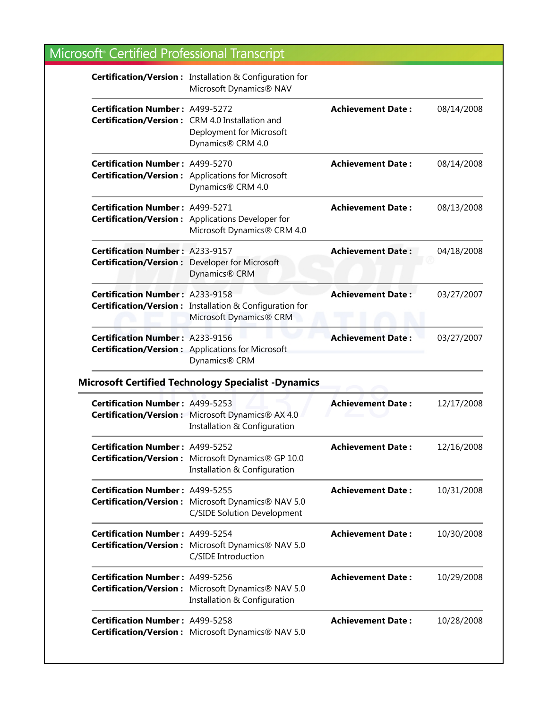|                                                                                                 | Certification/Version: Installation & Configuration for<br>Microsoft Dynamics® NAV               |                          |            |
|-------------------------------------------------------------------------------------------------|--------------------------------------------------------------------------------------------------|--------------------------|------------|
| <b>Certification Number: A499-5272</b>                                                          | Certification/Version: CRM 4.0 Installation and<br>Deployment for Microsoft<br>Dynamics® CRM 4.0 | <b>Achievement Date:</b> | 08/14/2008 |
| <b>Certification Number: A499-5270</b>                                                          | <b>Certification/Version:</b> Applications for Microsoft<br>Dynamics® CRM 4.0                    | <b>Achievement Date:</b> | 08/14/2008 |
| <b>Certification Number: A499-5271</b>                                                          | <b>Certification/Version:</b> Applications Developer for<br>Microsoft Dynamics® CRM 4.0          | <b>Achievement Date:</b> | 08/13/2008 |
| <b>Certification Number: A233-9157</b><br><b>Certification/Version:</b> Developer for Microsoft | Dynamics® CRM                                                                                    | <b>Achievement Date:</b> | 04/18/2008 |
| <b>Certification Number: A233-9158</b>                                                          | Certification/Version: Installation & Configuration for<br>Microsoft Dynamics® CRM               | <b>Achievement Date:</b> | 03/27/2007 |
| <b>Certification Number: A233-9156</b>                                                          | <b>Certification/Version:</b> Applications for Microsoft<br>Dynamics® CRM                        | <b>Achievement Date:</b> | 03/27/2007 |
|                                                                                                 | <b>Microsoft Certified Technology Specialist -Dynamics</b>                                       |                          |            |
| <b>Certification Number: A499-5253</b>                                                          | Certification/Version: Microsoft Dynamics® AX 4.0<br>Installation & Configuration                | <b>Achievement Date:</b> | 12/17/2008 |
| <b>Certification Number: A499-5252</b>                                                          | Certification/Version: Microsoft Dynamics® GP 10.0<br>Installation & Configuration               | <b>Achievement Date:</b> | 12/16/2008 |
| <b>Certification Number: A499-5255</b>                                                          | Certification/Version: Microsoft Dynamics® NAV 5.0<br>C/SIDE Solution Development                | <b>Achievement Date:</b> | 10/31/2008 |
| <b>Certification Number: A499-5254</b>                                                          | Certification/Version: Microsoft Dynamics® NAV 5.0<br>C/SIDE Introduction                        | <b>Achievement Date:</b> | 10/30/2008 |
| <b>Certification Number: A499-5256</b>                                                          | Certification/Version: Microsoft Dynamics® NAV 5.0<br>Installation & Configuration               | <b>Achievement Date:</b> | 10/29/2008 |
| <b>Certification Number: A499-5258</b>                                                          | Certification/Version: Microsoft Dynamics® NAV 5.0                                               | <b>Achievement Date:</b> | 10/28/2008 |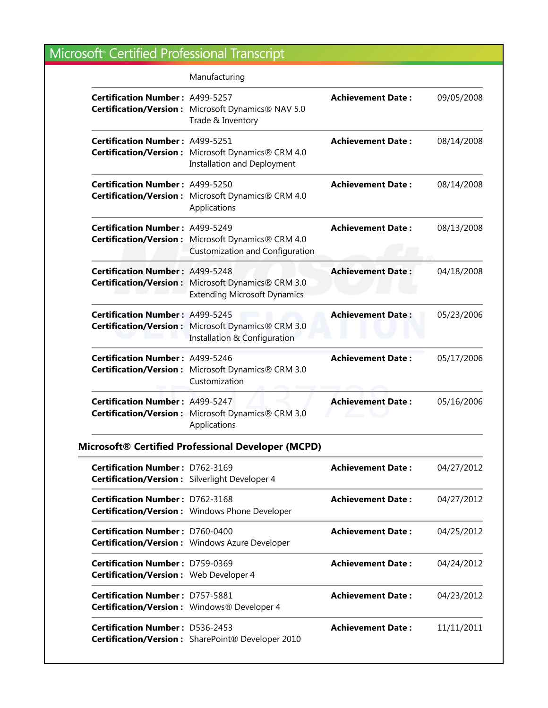|                                                                                          | Manufacturing                                                                                 |                           |            |
|------------------------------------------------------------------------------------------|-----------------------------------------------------------------------------------------------|---------------------------|------------|
| <b>Certification Number: A499-5257</b>                                                   | Certification/Version: Microsoft Dynamics® NAV 5.0<br>Trade & Inventory                       | <b>Achievement Date:</b>  | 09/05/2008 |
| Certification Number: A499-5251                                                          | Certification/Version: Microsoft Dynamics® CRM 4.0<br><b>Installation and Deployment</b>      | <b>Achievement Date:</b>  | 08/14/2008 |
| <b>Certification Number: A499-5250</b>                                                   | Certification/Version: Microsoft Dynamics® CRM 4.0<br>Applications                            | <b>Achievement Date:</b>  | 08/14/2008 |
| <b>Certification Number: A499-5249</b>                                                   | Certification/Version: Microsoft Dynamics® CRM 4.0<br><b>Customization and Configuration</b>  | <b>Achievement Date:</b>  | 08/13/2008 |
| <b>Certification Number: A499-5248</b><br><b>Certification/Version:</b>                  | Microsoft Dynamics® CRM 3.0<br><b>Extending Microsoft Dynamics</b>                            | <b>Achievement Date:</b>  | 04/18/2008 |
| <b>Certification Number: A499-5245</b>                                                   | Certification/Version: Microsoft Dynamics® CRM 3.0<br><b>Installation &amp; Configuration</b> | <b>Achievement Date:</b>  | 05/23/2006 |
| <b>Certification Number: A499-5246</b>                                                   | Certification/Version: Microsoft Dynamics® CRM 3.0<br>Customization                           | <b>Achievement Date:</b>  | 05/17/2006 |
| <b>Certification Number: A499-5247</b>                                                   | Certification/Version: Microsoft Dynamics® CRM 3.0<br>Applications                            | <b>Achievement Date:</b>  | 05/16/2006 |
|                                                                                          | <b>Microsoft® Certified Professional Developer (MCPD)</b>                                     |                           |            |
| <b>Certification Number: D762-3169</b><br>Certification/Version: Silverlight Developer 4 |                                                                                               | <b>Achievement Date :</b> | 04/27/2012 |
| Certification Number: D762-3168                                                          | <b>Certification/Version:</b> Windows Phone Developer                                         | <b>Achievement Date:</b>  | 04/27/2012 |
| <b>Certification Number: D760-0400</b>                                                   | <b>Certification/Version:</b> Windows Azure Developer                                         | <b>Achievement Date:</b>  | 04/25/2012 |
| <b>Certification Number: D759-0369</b><br>Certification/Version: Web Developer 4         |                                                                                               | <b>Achievement Date:</b>  | 04/24/2012 |
| Certification Number: D757-5881<br>Certification/Version: Windows® Developer 4           |                                                                                               | <b>Achievement Date:</b>  | 04/23/2012 |
| <b>Certification Number: D536-2453</b>                                                   | Certification/Version: SharePoint® Developer 2010                                             | <b>Achievement Date:</b>  | 11/11/2011 |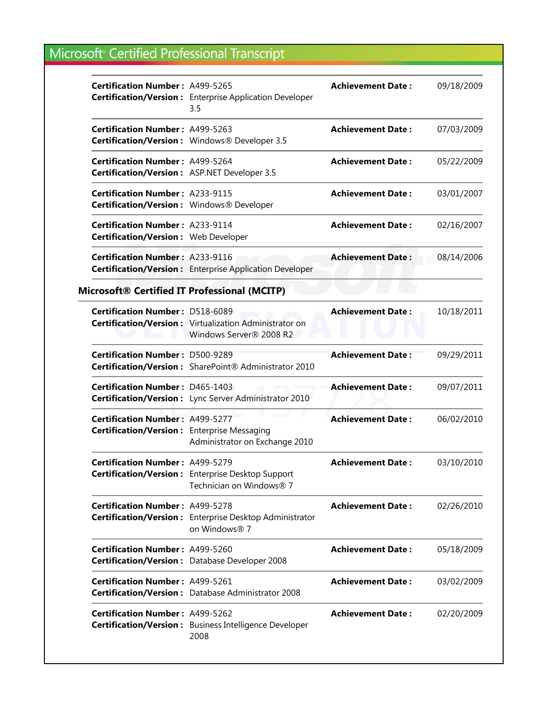| <b>Certification Number: A499-5265</b>                                                 | <b>Certification/Version:</b> Enterprise Application Developer<br>3.5                    | <b>Achievement Date:</b> | 09/18/2009 |
|----------------------------------------------------------------------------------------|------------------------------------------------------------------------------------------|--------------------------|------------|
| <b>Certification Number: A499-5263</b>                                                 | <b>Certification/Version:</b> Windows® Developer 3.5                                     | <b>Achievement Date:</b> | 07/03/2009 |
| <b>Certification Number: A499-5264</b><br>Certification/Version: ASP.NET Developer 3.5 |                                                                                          | <b>Achievement Date:</b> | 05/22/2009 |
| <b>Certification Number: A233-9115</b><br>Certification/Version: Windows® Developer    |                                                                                          | <b>Achievement Date:</b> | 03/01/2007 |
| <b>Certification Number: A233-9114</b><br>Certification/Version: Web Developer         |                                                                                          | <b>Achievement Date:</b> | 02/16/2007 |
| <b>Certification Number: A233-9116</b>                                                 | <b>Certification/Version:</b> Enterprise Application Developer                           | <b>Achievement Date:</b> | 08/14/2006 |
| Microsoft® Certified IT Professional (MCITP)                                           |                                                                                          |                          |            |
| <b>Certification Number: D518-6089</b>                                                 | <b>Certification/Version:</b> Virtualization Administrator on<br>Windows Server® 2008 R2 | <b>Achievement Date:</b> | 10/18/2011 |
| <b>Certification Number: D500-9289</b>                                                 | Certification/Version: SharePoint® Administrator 2010                                    | <b>Achievement Date:</b> | 09/29/2011 |
| <b>Certification Number: D465-1403</b>                                                 | Certification/Version: Lync Server Administrator 2010                                    | <b>Achievement Date:</b> | 09/07/2011 |
| <b>Certification Number: A499-5277</b><br>Certification/Version: Enterprise Messaging  | Administrator on Exchange 2010                                                           | <b>Achievement Date:</b> | 06/02/2010 |
| Certification Number: A499-5279                                                        | <b>Certification/Version:</b> Enterprise Desktop Support<br>Technician on Windows® 7     | <b>Achievement Date:</b> | 03/10/2010 |
| <b>Certification Number: A499-5278</b>                                                 | Certification/Version: Enterprise Desktop Administrator<br>on Windows® 7                 | <b>Achievement Date:</b> | 02/26/2010 |
| Certification Number: A499-5260                                                        | Certification/Version: Database Developer 2008                                           | <b>Achievement Date:</b> | 05/18/2009 |
| Certification Number: A499-5261                                                        | Certification/Version: Database Administrator 2008                                       | <b>Achievement Date:</b> | 03/02/2009 |
| <b>Certification Number: A499-5262</b>                                                 | <b>Certification/Version:</b> Business Intelligence Developer<br>2008                    | <b>Achievement Date:</b> | 02/20/2009 |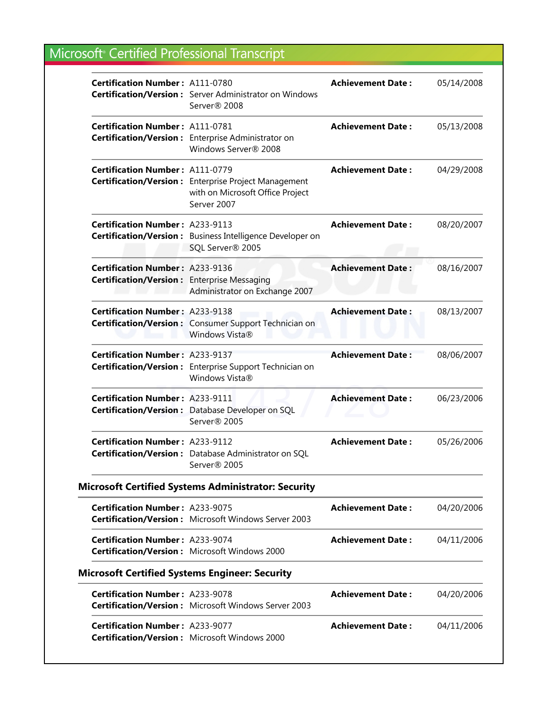| <b>Certification Number: A111-0780</b>                                                       | <b>Certification/Version:</b> Server Administrator on Windows<br>Server® 2008                           | <b>Achievement Date:</b> | 05/14/2008 |
|----------------------------------------------------------------------------------------------|---------------------------------------------------------------------------------------------------------|--------------------------|------------|
| <b>Certification Number: A111-0781</b>                                                       | Certification/Version: Enterprise Administrator on<br>Windows Server® 2008                              | <b>Achievement Date:</b> | 05/13/2008 |
| <b>Certification Number: A111-0779</b>                                                       | Certification/Version: Enterprise Project Management<br>with on Microsoft Office Project<br>Server 2007 | <b>Achievement Date:</b> | 04/29/2008 |
| <b>Certification Number: A233-9113</b>                                                       | Certification/Version: Business Intelligence Developer on<br>SQL Server® 2005                           | <b>Achievement Date:</b> | 08/20/2007 |
| <b>Certification Number: A233-9136</b><br><b>Certification/Version:</b> Enterprise Messaging | Administrator on Exchange 2007                                                                          | <b>Achievement Date:</b> | 08/16/2007 |
| <b>Certification Number: A233-9138</b>                                                       | Certification/Version: Consumer Support Technician on<br>Windows Vista®                                 | <b>Achievement Date:</b> | 08/13/2007 |
| <b>Certification Number: A233-9137</b>                                                       | Certification/Version: Enterprise Support Technician on<br>Windows Vista®                               | <b>Achievement Date:</b> | 08/06/2007 |
| <b>Certification Number: A233-9111</b>                                                       | Certification/Version: Database Developer on SQL<br>Server® 2005                                        | <b>Achievement Date:</b> | 06/23/2006 |
| <b>Certification Number: A233-9112</b>                                                       | Certification/Version: Database Administrator on SQL<br>Server® 2005                                    | <b>Achievement Date:</b> | 05/26/2006 |
|                                                                                              | <b>Microsoft Certified Systems Administrator: Security</b>                                              |                          |            |
| <b>Certification Number: A233-9075</b>                                                       | Certification/Version: Microsoft Windows Server 2003                                                    | <b>Achievement Date:</b> | 04/20/2006 |
| <b>Certification Number: A233-9074</b>                                                       | <b>Certification/Version:</b> Microsoft Windows 2000                                                    | <b>Achievement Date:</b> | 04/11/2006 |
|                                                                                              | <b>Microsoft Certified Systems Engineer: Security</b>                                                   |                          |            |
| <b>Certification Number: A233-9078</b>                                                       | <b>Certification/Version:</b> Microsoft Windows Server 2003                                             | <b>Achievement Date:</b> | 04/20/2006 |
| <b>Certification Number: A233-9077</b>                                                       |                                                                                                         | <b>Achievement Date:</b> | 04/11/2006 |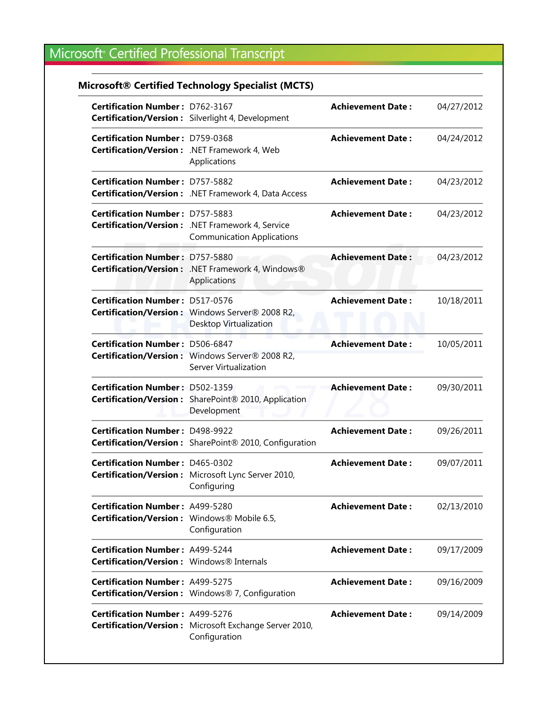#### **Microsoft® Certified Technology Specialist (MCTS)**

| <b>Certification Number: D762-3167</b>                                                 | <b>Certification/Version:</b> Silverlight 4, Development                                     | <b>Achievement Date:</b> | 04/27/2012 |
|----------------------------------------------------------------------------------------|----------------------------------------------------------------------------------------------|--------------------------|------------|
| <b>Certification Number: D759-0368</b><br>Certification/Version: .NET Framework 4, Web | Applications                                                                                 | <b>Achievement Date:</b> | 04/24/2012 |
| <b>Certification Number: D757-5882</b>                                                 | <b>Certification/Version:</b> .NET Framework 4, Data Access                                  | <b>Achievement Date:</b> | 04/23/2012 |
| <b>Certification Number: D757-5883</b>                                                 | <b>Certification/Version:</b> .NET Framework 4, Service<br><b>Communication Applications</b> | <b>Achievement Date:</b> | 04/23/2012 |
| <b>Certification Number: D757-5880</b>                                                 | Certification/Version: .NET Framework 4, Windows®<br>Applications                            | <b>Achievement Date:</b> | 04/23/2012 |
| <b>Certification Number: D517-0576</b>                                                 | Certification/Version: Windows Server® 2008 R2,<br>Desktop Virtualization                    | <b>Achievement Date:</b> | 10/18/2011 |
| <b>Certification Number: D506-6847</b>                                                 | Certification/Version: Windows Server® 2008 R2,<br>Server Virtualization                     | <b>Achievement Date:</b> | 10/05/2011 |
| <b>Certification Number: D502-1359</b>                                                 | Certification/Version: SharePoint® 2010, Application<br>Development                          | <b>Achievement Date:</b> | 09/30/2011 |
| <b>Certification Number: D498-9922</b>                                                 | Certification/Version: SharePoint® 2010, Configuration                                       | <b>Achievement Date:</b> | 09/26/2011 |
| <b>Certification Number: D465-0302</b>                                                 | Certification/Version: Microsoft Lync Server 2010,<br>Configuring                            | <b>Achievement Date:</b> | 09/07/2011 |
| <b>Certification Number: A499-5280</b><br>Certification/Version: Windows® Mobile 6.5,  | Configuration                                                                                | <b>Achievement Date:</b> | 02/13/2010 |
| <b>Certification Number: A499-5244</b><br>Certification/Version: Windows® Internals    |                                                                                              | <b>Achievement Date:</b> | 09/17/2009 |
| <b>Certification Number: A499-5275</b>                                                 | Certification/Version: Windows® 7, Configuration                                             | <b>Achievement Date:</b> | 09/16/2009 |
| <b>Certification Number: A499-5276</b>                                                 | <b>Certification/Version:</b> Microsoft Exchange Server 2010,<br>Configuration               | <b>Achievement Date:</b> | 09/14/2009 |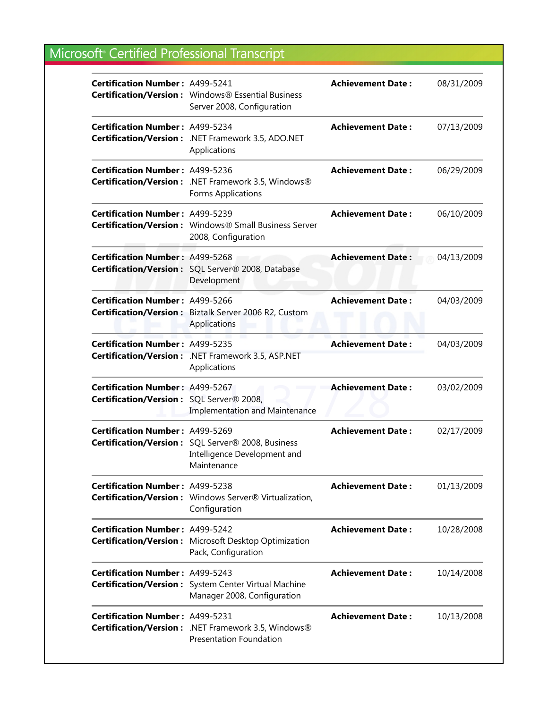| <b>Certification Number: A499-5241</b>                                             | Certification/Version: Windows® Essential Business<br>Server 2008, Configuration                 | <b>Achievement Date:</b> | 08/31/2009 |
|------------------------------------------------------------------------------------|--------------------------------------------------------------------------------------------------|--------------------------|------------|
| Certification Number: A499-5234                                                    | Certification/Version: .NET Framework 3.5, ADO.NET<br>Applications                               | <b>Achievement Date:</b> | 07/13/2009 |
| <b>Certification Number: A499-5236</b>                                             | Certification/Version: .NET Framework 3.5, Windows®<br>Forms Applications                        | <b>Achievement Date:</b> | 06/29/2009 |
| <b>Certification Number: A499-5239</b>                                             | Certification/Version: Windows® Small Business Server<br>2008, Configuration                     | <b>Achievement Date:</b> | 06/10/2009 |
| <b>Certification Number: A499-5268</b>                                             | Certification/Version: SQL Server® 2008, Database<br>Development                                 | <b>Achievement Date:</b> | 04/13/2009 |
| <b>Certification Number: A499-5266</b>                                             | Certification/Version: Biztalk Server 2006 R2, Custom<br>Applications                            | <b>Achievement Date:</b> | 04/03/2009 |
| <b>Certification Number: A499-5235</b>                                             | Certification/Version: .NET Framework 3.5, ASP.NET<br>Applications                               | <b>Achievement Date:</b> | 04/03/2009 |
| <b>Certification Number: A499-5267</b><br>Certification/Version: SQL Server® 2008, | <b>Implementation and Maintenance</b>                                                            | <b>Achievement Date:</b> | 03/02/2009 |
| <b>Certification Number: A499-5269</b>                                             | Certification/Version: SQL Server® 2008, Business<br>Intelligence Development and<br>Maintenance | <b>Achievement Date:</b> | 02/17/2009 |
| <b>Certification Number: A499-5238</b>                                             | Certification/Version: Windows Server® Virtualization,<br>Configuration                          | <b>Achievement Date:</b> | 01/13/2009 |
| Certification Number: A499-5242                                                    | <b>Certification/Version:</b> Microsoft Desktop Optimization<br>Pack, Configuration              | <b>Achievement Date:</b> | 10/28/2008 |
| <b>Certification Number: A499-5243</b>                                             | <b>Certification/Version:</b> System Center Virtual Machine<br>Manager 2008, Configuration       | <b>Achievement Date:</b> | 10/14/2008 |
| <b>Certification Number: A499-5231</b>                                             | <b>Certification/Version:</b> .NET Framework 3.5, Windows®<br><b>Presentation Foundation</b>     | <b>Achievement Date:</b> | 10/13/2008 |
|                                                                                    |                                                                                                  |                          |            |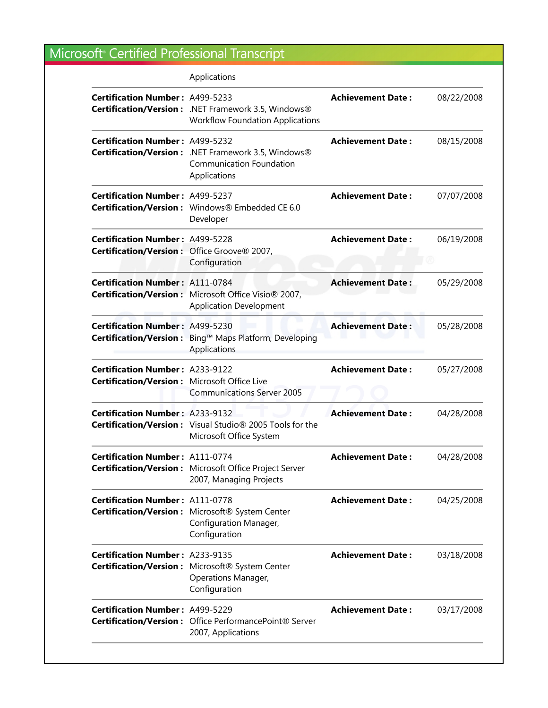|                                                                                        | Applications                                                                                           |                          |            |
|----------------------------------------------------------------------------------------|--------------------------------------------------------------------------------------------------------|--------------------------|------------|
| <b>Certification Number: A499-5233</b>                                                 | Certification/Version: .NET Framework 3.5, Windows®<br><b>Workflow Foundation Applications</b>         | <b>Achievement Date:</b> | 08/22/2008 |
| <b>Certification Number: A499-5232</b>                                                 | Certification/Version: .NET Framework 3.5, Windows®<br><b>Communication Foundation</b><br>Applications | <b>Achievement Date:</b> | 08/15/2008 |
| <b>Certification Number: A499-5237</b>                                                 | Certification/Version: Windows® Embedded CE 6.0<br>Developer                                           | <b>Achievement Date:</b> | 07/07/2008 |
| <b>Certification Number: A499-5228</b><br>Certification/Version: Office Groove® 2007,  | Configuration                                                                                          | <b>Achievement Date:</b> | 06/19/2008 |
| <b>Certification Number: A111-0784</b>                                                 | Certification/Version: Microsoft Office Visio® 2007,<br><b>Application Development</b>                 | <b>Achievement Date:</b> | 05/29/2008 |
| <b>Certification Number: A499-5230</b>                                                 | Certification/Version: Bing™ Maps Platform, Developing<br>Applications                                 | <b>Achievement Date:</b> | 05/28/2008 |
| <b>Certification Number: A233-9122</b><br>Certification/Version: Microsoft Office Live | <b>Communications Server 2005</b>                                                                      | <b>Achievement Date:</b> | 05/27/2008 |
| <b>Certification Number: A233-9132</b>                                                 | Certification/Version: Visual Studio® 2005 Tools for the<br>Microsoft Office System                    | <b>Achievement Date:</b> | 04/28/2008 |
| Certification Number: A111-0774                                                        | Certification/Version: Microsoft Office Project Server<br>2007, Managing Projects                      | <b>Achievement Date:</b> | 04/28/2008 |
| <b>Certification Number: A111-0778</b>                                                 | Certification/Version: Microsoft® System Center<br>Configuration Manager,<br>Configuration             | <b>Achievement Date:</b> | 04/25/2008 |
| <b>Certification Number: A233-9135</b>                                                 | Certification/Version: Microsoft® System Center<br><b>Operations Manager,</b><br>Configuration         | <b>Achievement Date:</b> | 03/18/2008 |
| <b>Certification Number: A499-5229</b>                                                 | Certification/Version: Office PerformancePoint® Server<br>2007, Applications                           | <b>Achievement Date:</b> | 03/17/2008 |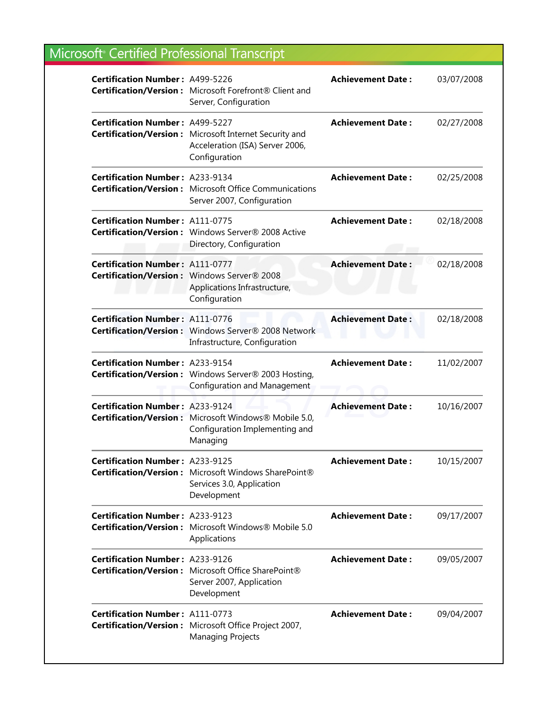| <b>Certification Number: A499-5226</b> | Certification/Version: Microsoft Forefront® Client and<br>Server, Configuration                            | <b>Achievement Date:</b> | 03/07/2008 |
|----------------------------------------|------------------------------------------------------------------------------------------------------------|--------------------------|------------|
| <b>Certification Number: A499-5227</b> | Certification/Version: Microsoft Internet Security and<br>Acceleration (ISA) Server 2006,<br>Configuration | <b>Achievement Date:</b> | 02/27/2008 |
| <b>Certification Number: A233-9134</b> | <b>Certification/Version:</b> Microsoft Office Communications<br>Server 2007, Configuration                | <b>Achievement Date:</b> | 02/25/2008 |
| <b>Certification Number: A111-0775</b> | Certification/Version: Windows Server® 2008 Active<br>Directory, Configuration                             | <b>Achievement Date:</b> | 02/18/2008 |
| <b>Certification Number: A111-0777</b> | Certification/Version: Windows Server® 2008<br>Applications Infrastructure,<br>Configuration               | <b>Achievement Date:</b> | 02/18/2008 |
| <b>Certification Number: A111-0776</b> | Certification/Version: Windows Server® 2008 Network<br>Infrastructure, Configuration                       | <b>Achievement Date:</b> | 02/18/2008 |
| <b>Certification Number: A233-9154</b> | Certification/Version: Windows Server® 2003 Hosting,<br><b>Configuration and Management</b>                | <b>Achievement Date:</b> | 11/02/2007 |
| <b>Certification Number: A233-9124</b> | <b>Certification/Version:</b> Microsoft Windows® Mobile 5.0,<br>Configuration Implementing and<br>Managing | <b>Achievement Date:</b> | 10/16/2007 |
| <b>Certification Number: A233-9125</b> | Certification/Version: Microsoft Windows SharePoint®<br>Services 3.0, Application<br>Development           | <b>Achievement Date:</b> | 10/15/2007 |
| <b>Certification Number: A233-9123</b> | Certification/Version: Microsoft Windows® Mobile 5.0<br>Applications                                       | <b>Achievement Date:</b> | 09/17/2007 |
| <b>Certification Number: A233-9126</b> | Certification/Version: Microsoft Office SharePoint®<br>Server 2007, Application<br>Development             | <b>Achievement Date:</b> | 09/05/2007 |
| <b>Certification Number: A111-0773</b> | Certification/Version: Microsoft Office Project 2007,<br><b>Managing Projects</b>                          | <b>Achievement Date:</b> | 09/04/2007 |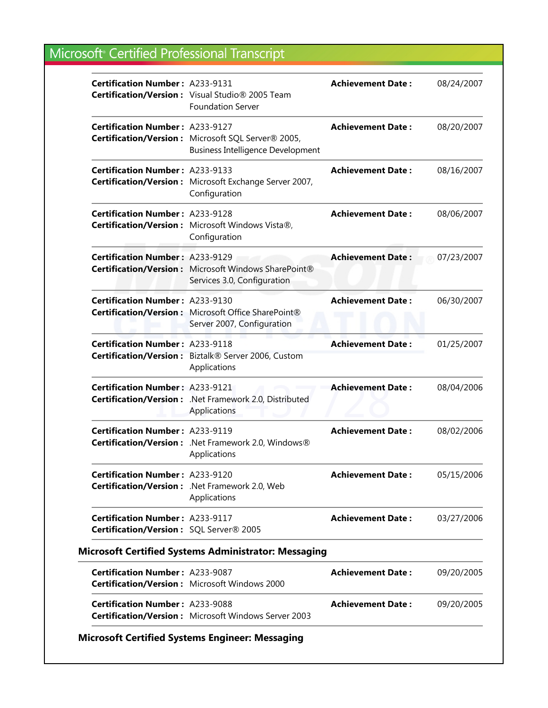| <b>Certification Number: A233-9131</b>                                            | Certification/Version: Visual Studio® 2005 Team<br><b>Foundation Server</b>                    | <b>Achievement Date:</b> | 08/24/2007 |
|-----------------------------------------------------------------------------------|------------------------------------------------------------------------------------------------|--------------------------|------------|
| <b>Certification Number: A233-9127</b>                                            | Certification/Version: Microsoft SQL Server® 2005,<br><b>Business Intelligence Development</b> | <b>Achievement Date:</b> | 08/20/2007 |
| <b>Certification Number: A233-9133</b>                                            | Certification/Version: Microsoft Exchange Server 2007,<br>Configuration                        | <b>Achievement Date:</b> | 08/16/2007 |
| <b>Certification Number: A233-9128</b>                                            | Certification/Version: Microsoft Windows Vista®,<br>Configuration                              | <b>Achievement Date:</b> | 08/06/2007 |
| <b>Certification Number: A233-9129</b>                                            | Certification/Version: Microsoft Windows SharePoint®<br>Services 3.0, Configuration            | <b>Achievement Date:</b> | 07/23/2007 |
| <b>Certification Number: A233-9130</b>                                            | Certification/Version: Microsoft Office SharePoint®<br>Server 2007, Configuration              | <b>Achievement Date:</b> | 06/30/2007 |
| <b>Certification Number: A233-9118</b>                                            | Certification/Version: Biztalk® Server 2006, Custom<br>Applications                            | <b>Achievement Date:</b> | 01/25/2007 |
| <b>Certification Number: A233-9121</b>                                            | Certification/Version: .Net Framework 2.0, Distributed<br>Applications                         | <b>Achievement Date:</b> | 08/04/2006 |
| <b>Certification Number: A233-9119</b>                                            | Certification/Version: .Net Framework 2.0, Windows®<br>Applications                            | <b>Achievement Date:</b> | 08/02/2006 |
| <b>Certification Number: A233-9120</b>                                            | Certification/Version: .Net Framework 2.0, Web<br>Applications                                 | <b>Achievement Date:</b> | 05/15/2006 |
| <b>Certification Number: A233-9117</b><br>Certification/Version: SQL Server® 2005 |                                                                                                | <b>Achievement Date:</b> | 03/27/2006 |
|                                                                                   | <b>Microsoft Certified Systems Administrator: Messaging</b>                                    |                          |            |
| <b>Certification Number: A233-9087</b>                                            | Certification/Version: Microsoft Windows 2000                                                  | <b>Achievement Date:</b> | 09/20/2005 |
| <b>Certification Number: A233-9088</b>                                            | <b>Certification/Version:</b> Microsoft Windows Server 2003                                    | <b>Achievement Date:</b> | 09/20/2005 |

#### **Microsoft Certified Systems Engineer: Messaging**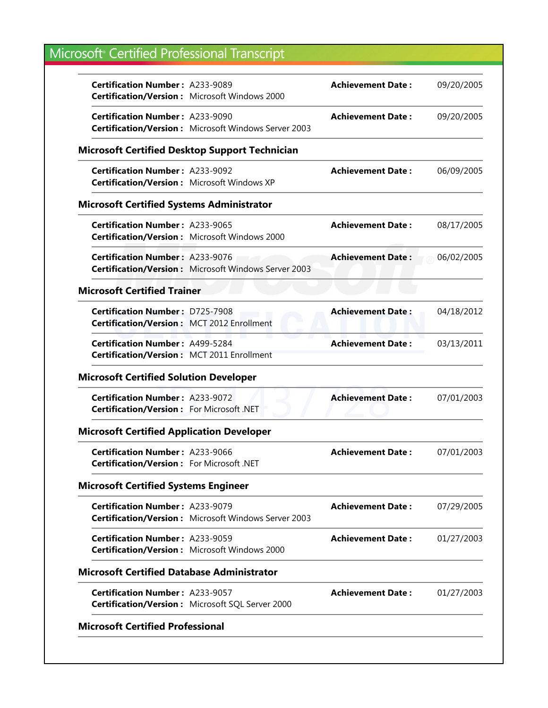|                                        | <b>Achievement Date:</b>                                                                                                                                                                                                                                                                                                                                                                                                                                                                                                                                                                                                                                                                                                                                                                                                                                                                                                                                                                                                                                                                                                                                                                                                                                                                                                                                                                                                                                | 09/20/2005 |
|----------------------------------------|---------------------------------------------------------------------------------------------------------------------------------------------------------------------------------------------------------------------------------------------------------------------------------------------------------------------------------------------------------------------------------------------------------------------------------------------------------------------------------------------------------------------------------------------------------------------------------------------------------------------------------------------------------------------------------------------------------------------------------------------------------------------------------------------------------------------------------------------------------------------------------------------------------------------------------------------------------------------------------------------------------------------------------------------------------------------------------------------------------------------------------------------------------------------------------------------------------------------------------------------------------------------------------------------------------------------------------------------------------------------------------------------------------------------------------------------------------|------------|
|                                        | <b>Achievement Date:</b>                                                                                                                                                                                                                                                                                                                                                                                                                                                                                                                                                                                                                                                                                                                                                                                                                                                                                                                                                                                                                                                                                                                                                                                                                                                                                                                                                                                                                                | 09/20/2005 |
|                                        |                                                                                                                                                                                                                                                                                                                                                                                                                                                                                                                                                                                                                                                                                                                                                                                                                                                                                                                                                                                                                                                                                                                                                                                                                                                                                                                                                                                                                                                         |            |
|                                        | <b>Achievement Date:</b>                                                                                                                                                                                                                                                                                                                                                                                                                                                                                                                                                                                                                                                                                                                                                                                                                                                                                                                                                                                                                                                                                                                                                                                                                                                                                                                                                                                                                                | 06/09/2005 |
|                                        |                                                                                                                                                                                                                                                                                                                                                                                                                                                                                                                                                                                                                                                                                                                                                                                                                                                                                                                                                                                                                                                                                                                                                                                                                                                                                                                                                                                                                                                         |            |
|                                        | <b>Achievement Date:</b>                                                                                                                                                                                                                                                                                                                                                                                                                                                                                                                                                                                                                                                                                                                                                                                                                                                                                                                                                                                                                                                                                                                                                                                                                                                                                                                                                                                                                                | 08/17/2005 |
|                                        | <b>Achievement Date:</b>                                                                                                                                                                                                                                                                                                                                                                                                                                                                                                                                                                                                                                                                                                                                                                                                                                                                                                                                                                                                                                                                                                                                                                                                                                                                                                                                                                                                                                | 06/02/2005 |
|                                        |                                                                                                                                                                                                                                                                                                                                                                                                                                                                                                                                                                                                                                                                                                                                                                                                                                                                                                                                                                                                                                                                                                                                                                                                                                                                                                                                                                                                                                                         |            |
|                                        | <b>Achievement Date:</b>                                                                                                                                                                                                                                                                                                                                                                                                                                                                                                                                                                                                                                                                                                                                                                                                                                                                                                                                                                                                                                                                                                                                                                                                                                                                                                                                                                                                                                | 04/18/2012 |
|                                        | <b>Achievement Date:</b>                                                                                                                                                                                                                                                                                                                                                                                                                                                                                                                                                                                                                                                                                                                                                                                                                                                                                                                                                                                                                                                                                                                                                                                                                                                                                                                                                                                                                                | 03/13/2011 |
|                                        |                                                                                                                                                                                                                                                                                                                                                                                                                                                                                                                                                                                                                                                                                                                                                                                                                                                                                                                                                                                                                                                                                                                                                                                                                                                                                                                                                                                                                                                         |            |
|                                        | <b>Achievement Date:</b>                                                                                                                                                                                                                                                                                                                                                                                                                                                                                                                                                                                                                                                                                                                                                                                                                                                                                                                                                                                                                                                                                                                                                                                                                                                                                                                                                                                                                                | 07/01/2003 |
|                                        |                                                                                                                                                                                                                                                                                                                                                                                                                                                                                                                                                                                                                                                                                                                                                                                                                                                                                                                                                                                                                                                                                                                                                                                                                                                                                                                                                                                                                                                         |            |
|                                        | <b>Achievement Date:</b>                                                                                                                                                                                                                                                                                                                                                                                                                                                                                                                                                                                                                                                                                                                                                                                                                                                                                                                                                                                                                                                                                                                                                                                                                                                                                                                                                                                                                                | 07/01/2003 |
|                                        |                                                                                                                                                                                                                                                                                                                                                                                                                                                                                                                                                                                                                                                                                                                                                                                                                                                                                                                                                                                                                                                                                                                                                                                                                                                                                                                                                                                                                                                         |            |
|                                        | <b>Achievement Date:</b>                                                                                                                                                                                                                                                                                                                                                                                                                                                                                                                                                                                                                                                                                                                                                                                                                                                                                                                                                                                                                                                                                                                                                                                                                                                                                                                                                                                                                                | 07/29/2005 |
|                                        | <b>Achievement Date:</b>                                                                                                                                                                                                                                                                                                                                                                                                                                                                                                                                                                                                                                                                                                                                                                                                                                                                                                                                                                                                                                                                                                                                                                                                                                                                                                                                                                                                                                | 01/27/2003 |
|                                        |                                                                                                                                                                                                                                                                                                                                                                                                                                                                                                                                                                                                                                                                                                                                                                                                                                                                                                                                                                                                                                                                                                                                                                                                                                                                                                                                                                                                                                                         |            |
| <b>Certification Number: A233-9057</b> | <b>Achievement Date:</b>                                                                                                                                                                                                                                                                                                                                                                                                                                                                                                                                                                                                                                                                                                                                                                                                                                                                                                                                                                                                                                                                                                                                                                                                                                                                                                                                                                                                                                | 01/27/2003 |
|                                        | <b>Certification Number: A233-9089</b><br><b>Certification/Version:</b> Microsoft Windows 2000<br><b>Certification Number: A233-9090</b><br><b>Certification/Version:</b> Microsoft Windows Server 2003<br><b>Microsoft Certified Desktop Support Technician</b><br><b>Certification Number: A233-9092</b><br><b>Certification/Version: Microsoft Windows XP</b><br><b>Microsoft Certified Systems Administrator</b><br><b>Certification Number: A233-9065</b><br><b>Certification/Version:</b> Microsoft Windows 2000<br><b>Certification Number: A233-9076</b><br><b>Certification/Version:</b> Microsoft Windows Server 2003<br><b>Microsoft Certified Trainer</b><br><b>Certification Number: D725-7908</b><br>Certification/Version: MCT 2012 Enrollment<br><b>Certification Number: A499-5284</b><br>Certification/Version: MCT 2011 Enrollment<br><b>Microsoft Certified Solution Developer</b><br><b>Certification Number: A233-9072</b><br>Certification/Version: For Microsoft .NET<br><b>Microsoft Certified Application Developer</b><br><b>Certification Number: A233-9066</b><br>Certification/Version: For Microsoft .NET<br><b>Microsoft Certified Systems Engineer</b><br><b>Certification Number: A233-9079</b><br><b>Certification/Version:</b> Microsoft Windows Server 2003<br><b>Certification Number: A233-9059</b><br><b>Certification/Version:</b> Microsoft Windows 2000<br><b>Microsoft Certified Database Administrator</b> |            |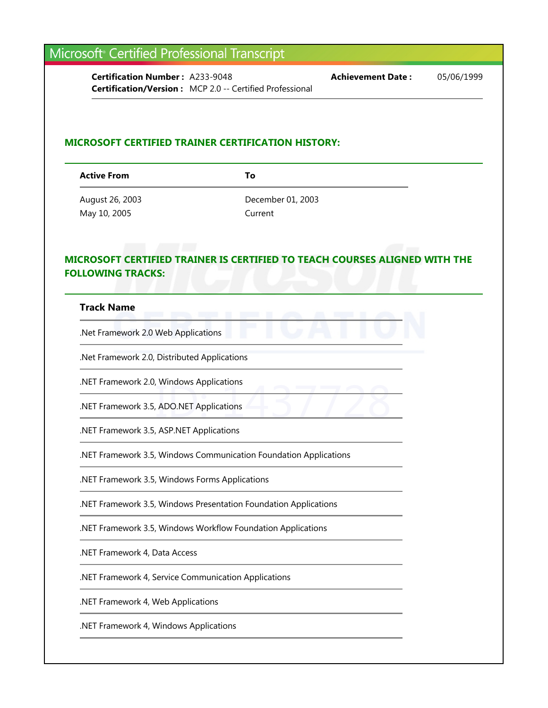**Certification Number :** A233-9048 **Achievement Date :** 05/06/1999 **Certification/Version :** MCP 2.0 -- Certified Professional

#### **MICROSOFT CERTIFIED TRAINER CERTIFICATION HISTORY:**

**Active From To**

August 26, 2003 December 01, 2003 May 10, 2005 Current

#### **MICROSOFT CERTIFIED TRAINER IS CERTIFIED TO TEACH COURSES ALIGNED WITH THE FOLLOWING TRACKS:**

#### **Track Name**

.Net Framework 2.0 Web Applications

.Net Framework 2.0, Distributed Applications

.NET Framework 2.0, Windows Applications

ADO.NET Applications .NET Framework 3.5, ADO.NET Applications

.NET Framework 3.5, ASP.NET Applications

.NET Framework 3.5, Windows Communication Foundation Applications

.NET Framework 3.5, Windows Forms Applications

.NET Framework 3.5, Windows Presentation Foundation Applications

.NET Framework 3.5, Windows Workflow Foundation Applications

.NET Framework 4, Data Access

.NET Framework 4, Service Communication Applications

.NET Framework 4, Web Applications

.NET Framework 4, Windows Applications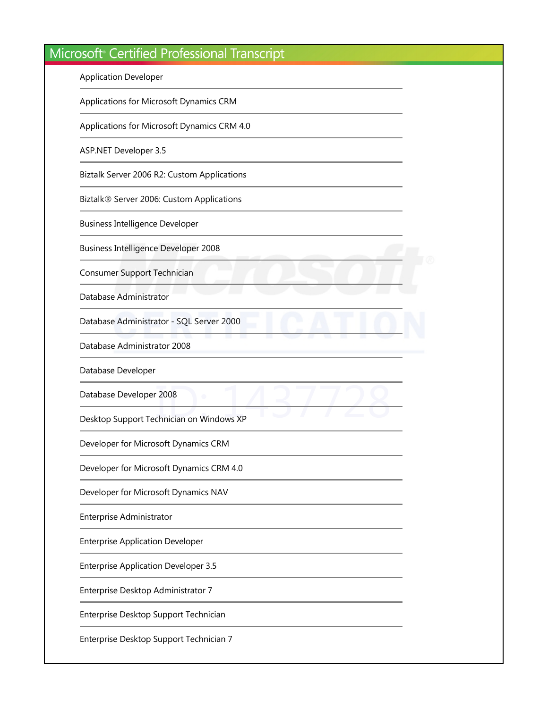Application Developer

Applications for Microsoft Dynamics CRM

Applications for Microsoft Dynamics CRM 4.0

ASP.NET Developer 3.5

Biztalk Server 2006 R2: Custom Applications

Biztalk® Server 2006: Custom Applications

Business Intelligence Developer

Business Intelligence Developer 2008

Consumer Support Technician

Database Administrator

Database Administrator - SQL Server 2000

Database Administrator 2008

Database Developer

Database Developer 2008

2008<br>Chnician on Windows XP Desktop Support Technician on Windows XP

Developer for Microsoft Dynamics CRM

Developer for Microsoft Dynamics CRM 4.0

Developer for Microsoft Dynamics NAV

Enterprise Administrator

Enterprise Application Developer

Enterprise Application Developer 3.5

Enterprise Desktop Administrator 7

Enterprise Desktop Support Technician

Enterprise Desktop Support Technician 7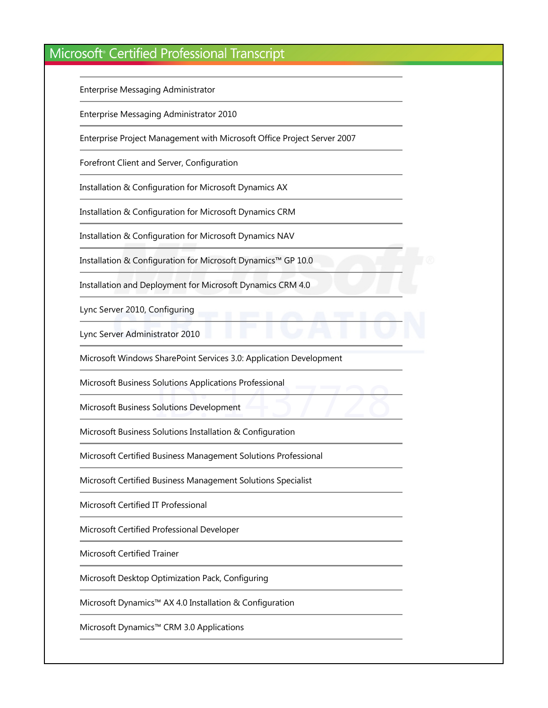Enterprise Messaging Administrator

Enterprise Messaging Administrator 2010

Enterprise Project Management with Microsoft Office Project Server 2007

Forefront Client and Server, Configuration

Installation & Configuration for Microsoft Dynamics AX

Installation & Configuration for Microsoft Dynamics CRM

Installation & Configuration for Microsoft Dynamics NAV

Installation & Configuration for Microsoft Dynamics™ GP 10.0

Installation and Deployment for Microsoft Dynamics CRM 4.0

Lync Server 2010, Configuring

Lync Server Administrator 2010

Microsoft Windows SharePoint Services 3.0: Application Development

Solutions Applications Professional<br>
Solutions Development Microsoft Business Solutions Applications Professional

Microsoft Business Solutions Development

Microsoft Business Solutions Installation & Configuration

Microsoft Certified Business Management Solutions Professional

Microsoft Certified Business Management Solutions Specialist

Microsoft Certified IT Professional

Microsoft Certified Professional Developer

Microsoft Certified Trainer

Microsoft Desktop Optimization Pack, Configuring

Microsoft Dynamics™ AX 4.0 Installation & Configuration

Microsoft Dynamics™ CRM 3.0 Applications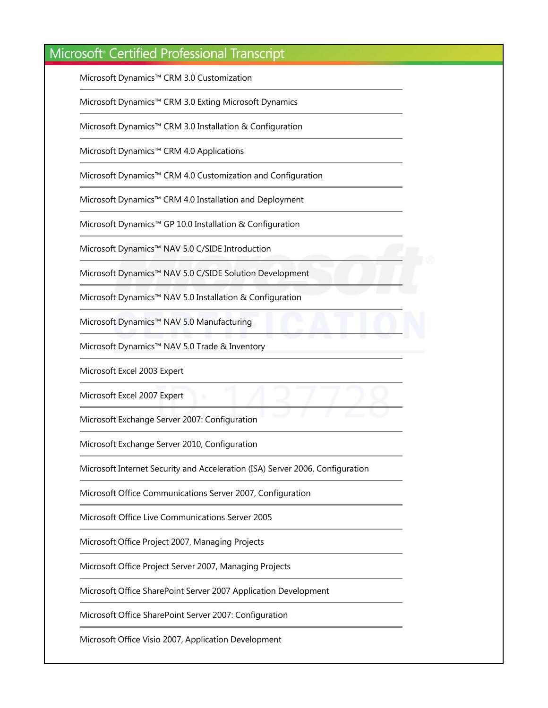Microsoft Dynamics™ CRM 3.0 Customization

Microsoft Dynamics™ CRM 3.0 Exting Microsoft Dynamics

Microsoft Dynamics™ CRM 3.0 Installation & Configuration

Microsoft Dynamics™ CRM 4.0 Applications

Microsoft Dynamics™ CRM 4.0 Customization and Configuration

Microsoft Dynamics™ CRM 4.0 Installation and Deployment

Microsoft Dynamics™ GP 10.0 Installation & Configuration

Microsoft Dynamics™ NAV 5.0 C/SIDE Introduction

Microsoft Dynamics™ NAV 5.0 C/SIDE Solution Development

Microsoft Dynamics™ NAV 5.0 Installation & Configuration

Microsoft Dynamics™ NAV 5.0 Manufacturing

Microsoft Dynamics™ NAV 5.0 Trade & Inventory

Microsoft Excel 2003 Expert

Microsoft Excel 2007 Expert

Expert<br>Server 2007: Configuration Microsoft Exchange Server 2007: Configuration

Microsoft Exchange Server 2010, Configuration

Microsoft Internet Security and Acceleration (ISA) Server 2006, Configuration

Microsoft Office Communications Server 2007, Configuration

Microsoft Office Live Communications Server 2005

Microsoft Office Project 2007, Managing Projects

Microsoft Office Project Server 2007, Managing Projects

Microsoft Office SharePoint Server 2007 Application Development

Microsoft Office SharePoint Server 2007: Configuration

Microsoft Office Visio 2007, Application Development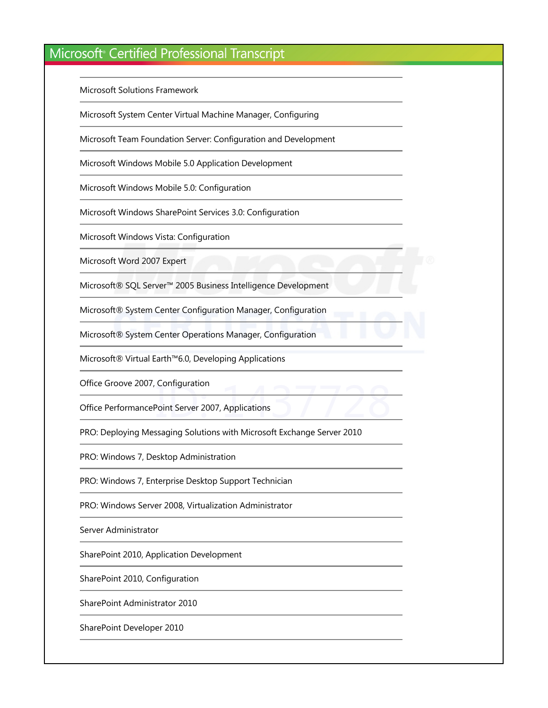Microsoft Solutions Framework

Microsoft System Center Virtual Machine Manager, Configuring

Microsoft Team Foundation Server: Configuration and Development

Microsoft Windows Mobile 5.0 Application Development

Microsoft Windows Mobile 5.0: Configuration

Microsoft Windows SharePoint Services 3.0: Configuration

Microsoft Windows Vista: Configuration

Microsoft Word 2007 Expert

Microsoft® SQL Server™ 2005 Business Intelligence Development

Microsoft® System Center Configuration Manager, Configuration

Microsoft® System Center Operations Manager, Configuration

Microsoft® Virtual Earth™6.0, Developing Applications

Office Groove 2007, Configuration

Point Server 2007, Applications Office PerformancePoint Server 2007, Applications

PRO: Deploying Messaging Solutions with Microsoft Exchange Server 2010

PRO: Windows 7, Desktop Administration

PRO: Windows 7, Enterprise Desktop Support Technician

PRO: Windows Server 2008, Virtualization Administrator

Server Administrator

SharePoint 2010, Application Development

SharePoint 2010, Configuration

SharePoint Administrator 2010

SharePoint Developer 2010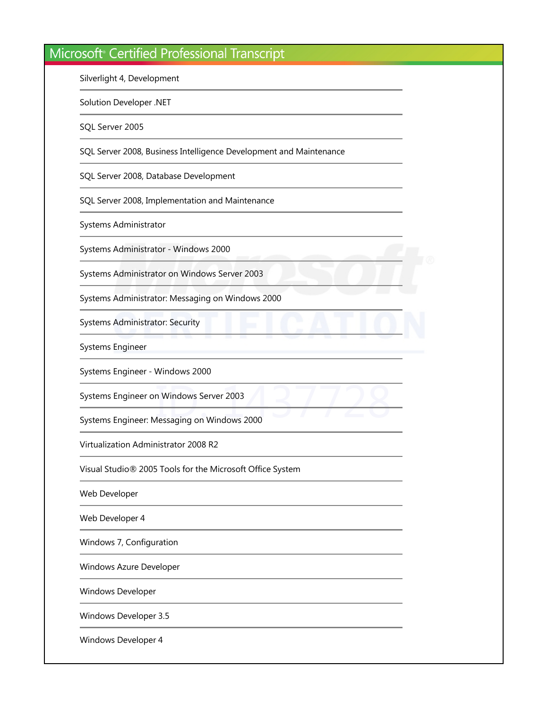Silverlight 4, Development

Solution Developer .NET

SQL Server 2005

SQL Server 2008, Business Intelligence Development and Maintenance

SQL Server 2008, Database Development

SQL Server 2008, Implementation and Maintenance

Systems Administrator

Systems Administrator - Windows 2000

Systems Administrator on Windows Server 2003

Systems Administrator: Messaging on Windows 2000

Systems Administrator: Security

Systems Engineer

Systems Engineer - Windows 2000

Systems Engineer on Windows Server 2003

In Windows Server 2003<br>Messaging on Windows 2000 Systems Engineer: Messaging on Windows 2000

Virtualization Administrator 2008 R2

Visual Studio® 2005 Tools for the Microsoft Office System

Web Developer

Web Developer 4

Windows 7, Configuration

Windows Azure Developer

Windows Developer

Windows Developer 3.5

Windows Developer 4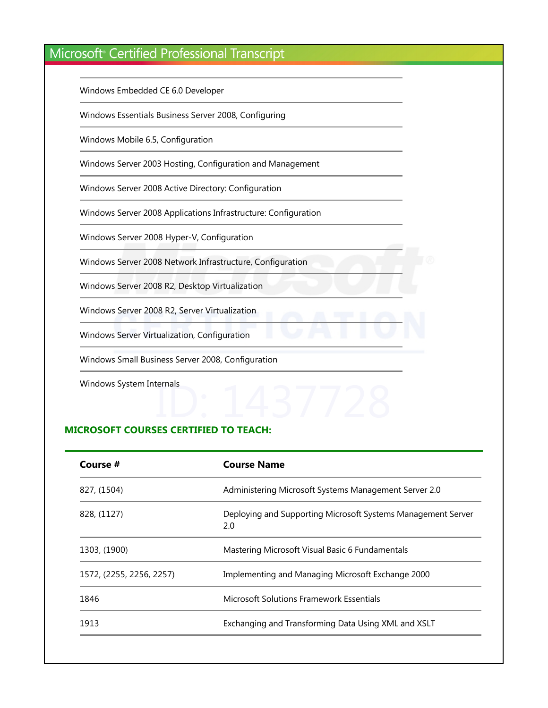Windows Embedded CE 6.0 Developer

Windows Essentials Business Server 2008, Configuring

Windows Mobile 6.5, Configuration

Windows Server 2003 Hosting, Configuration and Management

Windows Server 2008 Active Directory: Configuration

Windows Server 2008 Applications Infrastructure: Configuration

Windows Server 2008 Hyper-V, Configuration

Windows Server 2008 Network Infrastructure, Configuration

Windows Server 2008 R2, Desktop Virtualization

Windows Server 2008 R2, Server Virtualization

Windows Server Virtualization, Configuration

Windows Small Business Server 2008, Configuration

Windows System Internals

# ID: 1437728 **MICROSOFT COURSES CERTIFIED TO TEACH:**

| Course #                 | <b>Course Name</b>                                                  |  |
|--------------------------|---------------------------------------------------------------------|--|
| 827, (1504)              | Administering Microsoft Systems Management Server 2.0               |  |
| 828, (1127)              | Deploying and Supporting Microsoft Systems Management Server<br>2.0 |  |
| 1303, (1900)             | Mastering Microsoft Visual Basic 6 Fundamentals                     |  |
| 1572, (2255, 2256, 2257) | Implementing and Managing Microsoft Exchange 2000                   |  |
| 1846                     | Microsoft Solutions Framework Essentials                            |  |
| 1913                     | Exchanging and Transforming Data Using XML and XSLT                 |  |
|                          |                                                                     |  |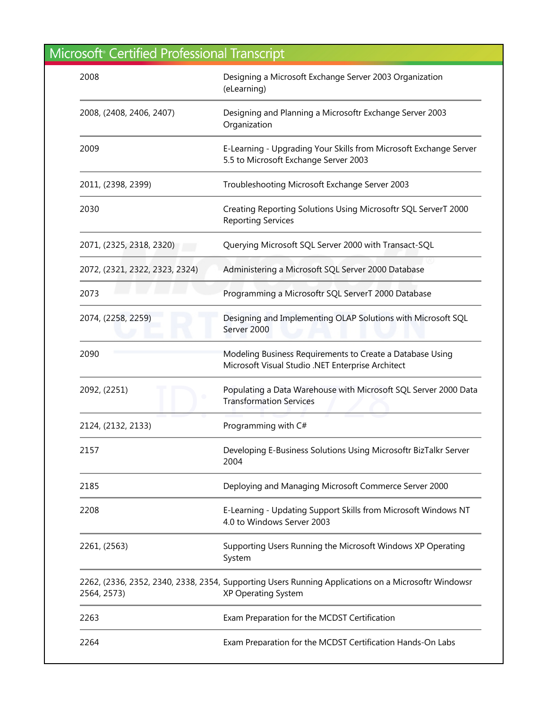| 2008                           | Designing a Microsoft Exchange Server 2003 Organization<br>(eLearning)                                                     |
|--------------------------------|----------------------------------------------------------------------------------------------------------------------------|
| 2008, (2408, 2406, 2407)       | Designing and Planning a Microsoftr Exchange Server 2003<br>Organization                                                   |
| 2009                           | E-Learning - Upgrading Your Skills from Microsoft Exchange Server<br>5.5 to Microsoft Exchange Server 2003                 |
| 2011, (2398, 2399)             | Troubleshooting Microsoft Exchange Server 2003                                                                             |
| 2030                           | Creating Reporting Solutions Using Microsoftr SQL ServerT 2000<br><b>Reporting Services</b>                                |
| 2071, (2325, 2318, 2320)       | Querying Microsoft SQL Server 2000 with Transact-SQL                                                                       |
| 2072, (2321, 2322, 2323, 2324) | Administering a Microsoft SQL Server 2000 Database                                                                         |
| 2073                           | Programming a Microsoftr SQL ServerT 2000 Database                                                                         |
| 2074, (2258, 2259)             | Designing and Implementing OLAP Solutions with Microsoft SQL<br>Server 2000                                                |
| 2090                           | Modeling Business Requirements to Create a Database Using<br>Microsoft Visual Studio .NET Enterprise Architect             |
| 2092, (2251)                   | Populating a Data Warehouse with Microsoft SQL Server 2000 Data<br><b>Transformation Services</b>                          |
| 2124, (2132, 2133)             | Programming with C#                                                                                                        |
| 2157                           | Developing E-Business Solutions Using Microsoftr BizTalkr Server<br>2004                                                   |
| 2185                           | Deploying and Managing Microsoft Commerce Server 2000                                                                      |
| 2208                           | E-Learning - Updating Support Skills from Microsoft Windows NT<br>4.0 to Windows Server 2003                               |
| 2261, (2563)                   | Supporting Users Running the Microsoft Windows XP Operating<br>System                                                      |
| 2564, 2573)                    | 2262, (2336, 2352, 2340, 2338, 2354, Supporting Users Running Applications on a Microsoftr Windowsr<br>XP Operating System |
| 2263                           | Exam Preparation for the MCDST Certification                                                                               |
| 2264                           | Exam Preparation for the MCDST Certification Hands-On Labs                                                                 |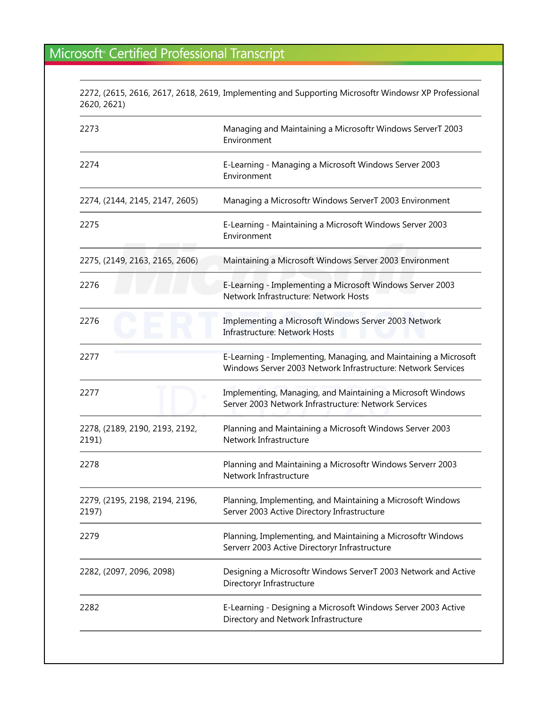2272, (2615, 2616, 2617, 2618, 2619, Implementing and Supporting Microsoftr Windowsr XP Professional 2620, 2621﴿

| 2273                                    | Managing and Maintaining a Microsoftr Windows ServerT 2003<br>Environment                                                        |
|-----------------------------------------|----------------------------------------------------------------------------------------------------------------------------------|
| 2274                                    | E-Learning - Managing a Microsoft Windows Server 2003<br>Environment                                                             |
| 2274, (2144, 2145, 2147, 2605)          | Managing a Microsoftr Windows ServerT 2003 Environment                                                                           |
| 2275                                    | E-Learning - Maintaining a Microsoft Windows Server 2003<br>Environment                                                          |
| 2275, (2149, 2163, 2165, 2606)          | Maintaining a Microsoft Windows Server 2003 Environment                                                                          |
| 2276                                    | E-Learning - Implementing a Microsoft Windows Server 2003<br>Network Infrastructure: Network Hosts                               |
| 2276                                    | Implementing a Microsoft Windows Server 2003 Network<br><b>Infrastructure: Network Hosts</b>                                     |
| 2277                                    | E-Learning - Implementing, Managing, and Maintaining a Microsoft<br>Windows Server 2003 Network Infrastructure: Network Services |
| 2277                                    | Implementing, Managing, and Maintaining a Microsoft Windows<br>Server 2003 Network Infrastructure: Network Services              |
| 2278, (2189, 2190, 2193, 2192,<br>2191) | Planning and Maintaining a Microsoft Windows Server 2003<br>Network Infrastructure                                               |
| 2278                                    | Planning and Maintaining a Microsoftr Windows Serverr 2003<br>Network Infrastructure                                             |
| 2279, (2195, 2198, 2194, 2196,<br>2197) | Planning, Implementing, and Maintaining a Microsoft Windows<br>Server 2003 Active Directory Infrastructure                       |
| 2279                                    | Planning, Implementing, and Maintaining a Microsoftr Windows<br>Serverr 2003 Active Directoryr Infrastructure                    |
| 2282, (2097, 2096, 2098)                | Designing a Microsoftr Windows ServerT 2003 Network and Active<br>Directoryr Infrastructure                                      |
| 2282                                    | E-Learning - Designing a Microsoft Windows Server 2003 Active<br>Directory and Network Infrastructure                            |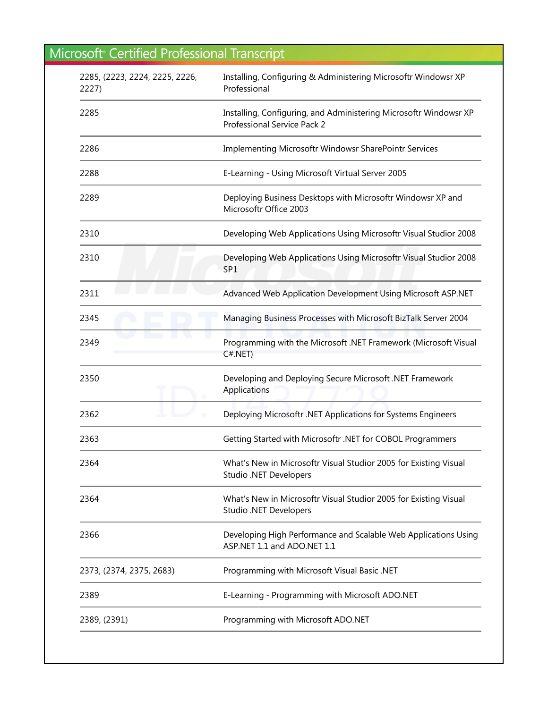| 2285, (2223, 2224, 2225, 2226,<br>2227) | Installing, Configuring & Administering Microsoftr Windowsr XP<br>Professional                   |
|-----------------------------------------|--------------------------------------------------------------------------------------------------|
| 2285                                    | Installing, Configuring, and Administering Microsoftr Windowsr XP<br>Professional Service Pack 2 |
| 2286                                    | Implementing Microsoftr Windowsr SharePointr Services                                            |
| 2288                                    | E-Learning - Using Microsoft Virtual Server 2005                                                 |
| 2289                                    | Deploying Business Desktops with Microsoftr Windowsr XP and<br>Microsoftr Office 2003            |
| 2310                                    | Developing Web Applications Using Microsoftr Visual Studior 2008                                 |
| 2310                                    | Developing Web Applications Using Microsoftr Visual Studior 2008<br>SP <sub>1</sub>              |
| 2311                                    | Advanced Web Application Development Using Microsoft ASP.NET                                     |
| 2345                                    | Managing Business Processes with Microsoft BizTalk Server 2004                                   |
| 2349                                    | Programming with the Microsoft .NET Framework (Microsoft Visual<br>$C#.$ NET $)$                 |
| 2350                                    | Developing and Deploying Secure Microsoft .NET Framework<br>Applications                         |
| 2362                                    | Deploying Microsoftr .NET Applications for Systems Engineers                                     |
| 2363                                    | Getting Started with Microsoftr .NET for COBOL Programmers                                       |
| 2364                                    | What's New in Microsoftr Visual Studior 2005 for Existing Visual<br>Studio .NET Developers       |
| 2364                                    | What's New in Microsoftr Visual Studior 2005 for Existing Visual<br>Studio .NET Developers       |
| 2366                                    | Developing High Performance and Scalable Web Applications Using<br>ASP.NET 1.1 and ADO.NET 1.1   |
| 2373, (2374, 2375, 2683)                | Programming with Microsoft Visual Basic .NET                                                     |
| 2389                                    | E-Learning - Programming with Microsoft ADO.NET                                                  |
| 2389, (2391)                            | Programming with Microsoft ADO.NET                                                               |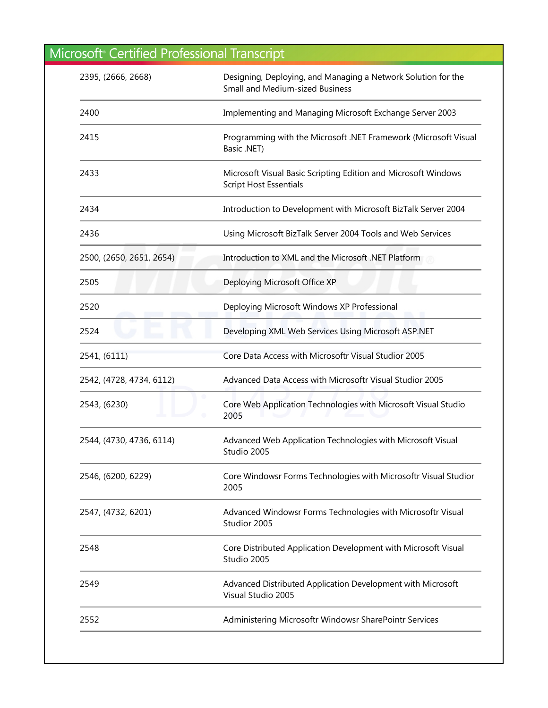| 2395, (2666, 2668)       | Designing, Deploying, and Managing a Network Solution for the<br><b>Small and Medium-sized Business</b> |
|--------------------------|---------------------------------------------------------------------------------------------------------|
| 2400                     | Implementing and Managing Microsoft Exchange Server 2003                                                |
| 2415                     | Programming with the Microsoft .NET Framework (Microsoft Visual<br>Basic .NET)                          |
| 2433                     | Microsoft Visual Basic Scripting Edition and Microsoft Windows<br><b>Script Host Essentials</b>         |
| 2434                     | Introduction to Development with Microsoft BizTalk Server 2004                                          |
| 2436                     | Using Microsoft BizTalk Server 2004 Tools and Web Services                                              |
| 2500, (2650, 2651, 2654) | Introduction to XML and the Microsoft .NET Platform                                                     |
| 2505                     | Deploying Microsoft Office XP                                                                           |
| 2520                     | Deploying Microsoft Windows XP Professional                                                             |
| 2524                     | Developing XML Web Services Using Microsoft ASP.NET                                                     |
| 2541, (6111)             | Core Data Access with Microsoftr Visual Studior 2005                                                    |
| 2542, (4728, 4734, 6112) | Advanced Data Access with Microsoftr Visual Studior 2005                                                |
| 2543, (6230)             | Core Web Application Technologies with Microsoft Visual Studio<br>2005                                  |
| 2544, (4730, 4736, 6114) | Advanced Web Application Technologies with Microsoft Visual<br>Studio 2005                              |
| 2546, (6200, 6229)       | Core Windowsr Forms Technologies with Microsoftr Visual Studior<br>2005                                 |
| 2547, (4732, 6201)       | Advanced Windowsr Forms Technologies with Microsoftr Visual<br>Studior 2005                             |
| 2548                     | Core Distributed Application Development with Microsoft Visual<br>Studio 2005                           |
| 2549                     | Advanced Distributed Application Development with Microsoft<br>Visual Studio 2005                       |
| 2552                     | Administering Microsoftr Windowsr SharePointr Services                                                  |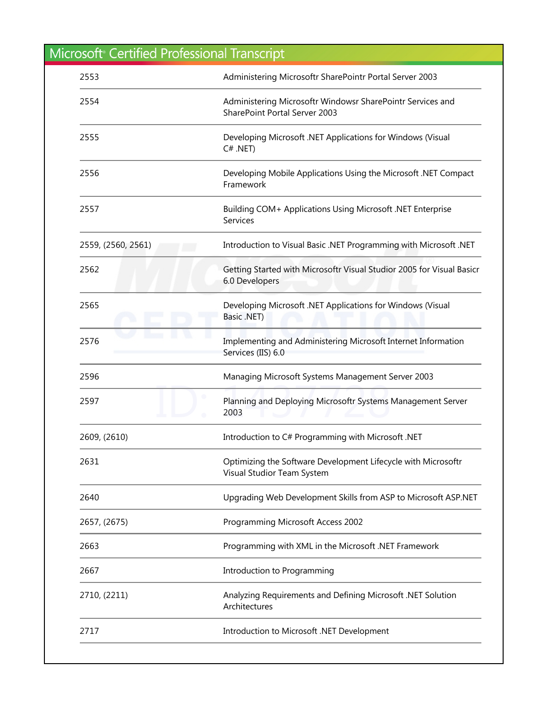| <b>Microsoft Certified Professional Transcript</b> |                                                                                             |
|----------------------------------------------------|---------------------------------------------------------------------------------------------|
| 2553                                               | Administering Microsoftr SharePointr Portal Server 2003                                     |
| 2554                                               | Administering Microsoftr Windowsr SharePointr Services and<br>SharePoint Portal Server 2003 |
| 2555                                               | Developing Microsoft .NET Applications for Windows (Visual<br>$C# .NET$ )                   |
| 2556                                               | Developing Mobile Applications Using the Microsoft .NET Compact<br>Framework                |
| 2557                                               | Building COM+ Applications Using Microsoft .NET Enterprise<br>Services                      |
| 2559, (2560, 2561)                                 | Introduction to Visual Basic .NET Programming with Microsoft .NET                           |
| 2562                                               | Getting Started with Microsoftr Visual Studior 2005 for Visual Basicr<br>6.0 Developers     |
| 2565                                               | Developing Microsoft .NET Applications for Windows (Visual<br>Basic .NET)                   |
| 2576                                               | Implementing and Administering Microsoft Internet Information<br>Services (IIS) 6.0         |
| 2596                                               | Managing Microsoft Systems Management Server 2003                                           |
| 2597                                               | Planning and Deploying Microsoftr Systems Management Server<br>2003                         |
| 2609, (2610)                                       | Introduction to C# Programming with Microsoft .NET                                          |
| 2631                                               | Optimizing the Software Development Lifecycle with Microsoftr<br>Visual Studior Team System |
| 2640                                               | Upgrading Web Development Skills from ASP to Microsoft ASP.NET                              |
| 2657, (2675)                                       | Programming Microsoft Access 2002                                                           |
| 2663                                               | Programming with XML in the Microsoft .NET Framework                                        |
| 2667                                               | Introduction to Programming                                                                 |
| 2710, (2211)                                       | Analyzing Requirements and Defining Microsoft .NET Solution<br>Architectures                |
| 2717                                               | Introduction to Microsoft .NET Development                                                  |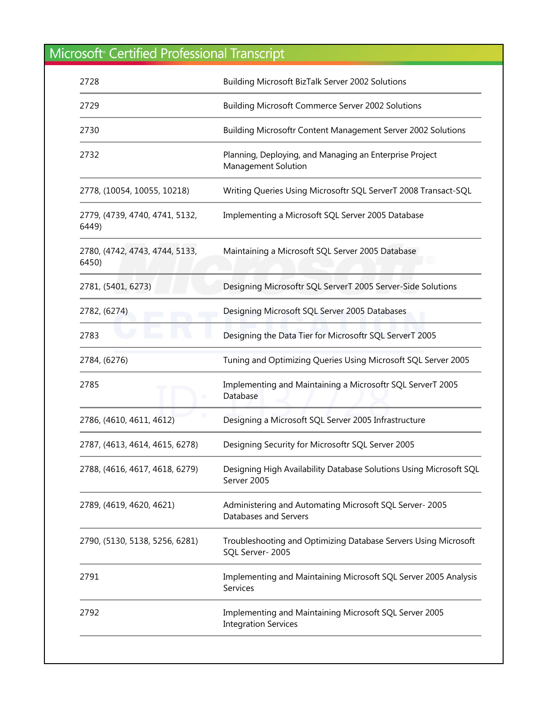| 2728                                    | <b>Building Microsoft BizTalk Server 2002 Solutions</b>                               |
|-----------------------------------------|---------------------------------------------------------------------------------------|
| 2729                                    | <b>Building Microsoft Commerce Server 2002 Solutions</b>                              |
| 2730                                    | Building Microsoftr Content Management Server 2002 Solutions                          |
| 2732                                    | Planning, Deploying, and Managing an Enterprise Project<br>Management Solution        |
| 2778, (10054, 10055, 10218)             | Writing Queries Using Microsoftr SQL ServerT 2008 Transact-SQL                        |
| 2779, (4739, 4740, 4741, 5132,<br>6449) | Implementing a Microsoft SQL Server 2005 Database                                     |
| 2780, (4742, 4743, 4744, 5133,<br>6450) | Maintaining a Microsoft SQL Server 2005 Database                                      |
| 2781, (5401, 6273)                      | Designing Microsoftr SQL ServerT 2005 Server-Side Solutions                           |
| 2782, (6274)                            | Designing Microsoft SQL Server 2005 Databases                                         |
| 2783                                    | Designing the Data Tier for Microsoftr SQL ServerT 2005                               |
| 2784, (6276)                            | Tuning and Optimizing Queries Using Microsoft SQL Server 2005                         |
| 2785                                    | Implementing and Maintaining a Microsoftr SQL ServerT 2005<br>Database                |
| 2786, (4610, 4611, 4612)                | Designing a Microsoft SQL Server 2005 Infrastructure                                  |
| 2787, (4613, 4614, 4615, 6278)          | Designing Security for Microsoftr SQL Server 2005                                     |
| 2788, (4616, 4617, 4618, 6279)          | Designing High Availability Database Solutions Using Microsoft SQL<br>Server 2005     |
| 2789, (4619, 4620, 4621)                | Administering and Automating Microsoft SQL Server-2005<br>Databases and Servers       |
| 2790, (5130, 5138, 5256, 6281)          | Troubleshooting and Optimizing Database Servers Using Microsoft<br>SQL Server-2005    |
| 2791                                    | Implementing and Maintaining Microsoft SQL Server 2005 Analysis<br>Services           |
| 2792                                    | Implementing and Maintaining Microsoft SQL Server 2005<br><b>Integration Services</b> |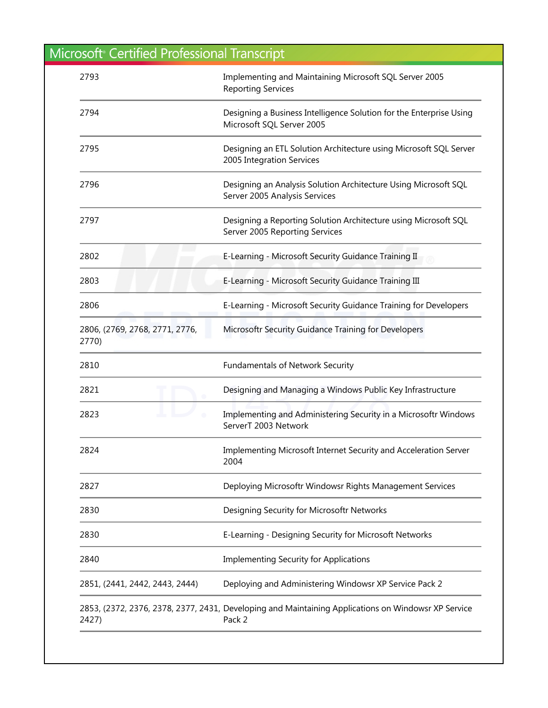| 2793                                    | Implementing and Maintaining Microsoft SQL Server 2005<br><b>Reporting Services</b>                           |
|-----------------------------------------|---------------------------------------------------------------------------------------------------------------|
| 2794                                    | Designing a Business Intelligence Solution for the Enterprise Using<br>Microsoft SQL Server 2005              |
| 2795                                    | Designing an ETL Solution Architecture using Microsoft SQL Server<br>2005 Integration Services                |
| 2796                                    | Designing an Analysis Solution Architecture Using Microsoft SQL<br>Server 2005 Analysis Services              |
| 2797                                    | Designing a Reporting Solution Architecture using Microsoft SQL<br>Server 2005 Reporting Services             |
| 2802                                    | E-Learning - Microsoft Security Guidance Training II                                                          |
| 2803                                    | E-Learning - Microsoft Security Guidance Training III                                                         |
| 2806                                    | E-Learning - Microsoft Security Guidance Training for Developers                                              |
| 2806, (2769, 2768, 2771, 2776,<br>2770) | Microsoftr Security Guidance Training for Developers                                                          |
| 2810                                    | <b>Fundamentals of Network Security</b>                                                                       |
| 2821                                    | Designing and Managing a Windows Public Key Infrastructure                                                    |
| 2823                                    | Implementing and Administering Security in a Microsoftr Windows<br>ServerT 2003 Network                       |
| 2824                                    | Implementing Microsoft Internet Security and Acceleration Server<br>2004                                      |
| 2827                                    | Deploying Microsoftr Windowsr Rights Management Services                                                      |
| 2830                                    | Designing Security for Microsoftr Networks                                                                    |
| 2830                                    | E-Learning - Designing Security for Microsoft Networks                                                        |
| 2840                                    | <b>Implementing Security for Applications</b>                                                                 |
| 2851, (2441, 2442, 2443, 2444)          | Deploying and Administering Windowsr XP Service Pack 2                                                        |
| 2427)                                   | 2853, (2372, 2376, 2378, 2377, 2431, Developing and Maintaining Applications on Windowsr XP Service<br>Pack 2 |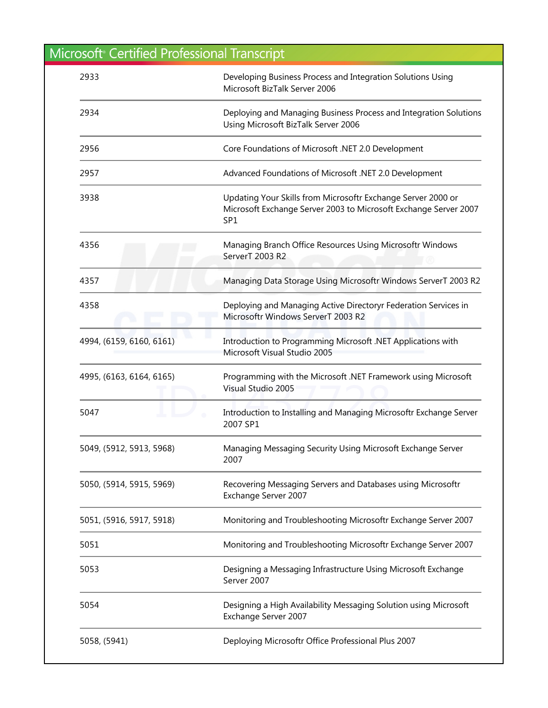| 2933                     | Developing Business Process and Integration Solutions Using<br>Microsoft BizTalk Server 2006                                                        |
|--------------------------|-----------------------------------------------------------------------------------------------------------------------------------------------------|
| 2934                     | Deploying and Managing Business Process and Integration Solutions<br>Using Microsoft BizTalk Server 2006                                            |
| 2956                     | Core Foundations of Microsoft .NET 2.0 Development                                                                                                  |
| 2957                     | Advanced Foundations of Microsoft .NET 2.0 Development                                                                                              |
| 3938                     | Updating Your Skills from Microsoftr Exchange Server 2000 or<br>Microsoft Exchange Server 2003 to Microsoft Exchange Server 2007<br>SP <sub>1</sub> |
| 4356                     | Managing Branch Office Resources Using Microsoftr Windows<br>ServerT 2003 R2                                                                        |
| 4357                     | Managing Data Storage Using Microsoftr Windows ServerT 2003 R2                                                                                      |
| 4358                     | Deploying and Managing Active Directoryr Federation Services in<br>Microsoftr Windows ServerT 2003 R2                                               |
| 4994, (6159, 6160, 6161) | Introduction to Programming Microsoft .NET Applications with<br>Microsoft Visual Studio 2005                                                        |
| 4995, (6163, 6164, 6165) | Programming with the Microsoft .NET Framework using Microsoft<br>Visual Studio 2005                                                                 |
| 5047                     | Introduction to Installing and Managing Microsoftr Exchange Server<br>2007 SP1                                                                      |
| 5049, (5912, 5913, 5968) | Managing Messaging Security Using Microsoft Exchange Server<br>2007                                                                                 |
| 5050, (5914, 5915, 5969) | Recovering Messaging Servers and Databases using Microsoftr<br>Exchange Server 2007                                                                 |
| 5051, (5916, 5917, 5918) | Monitoring and Troubleshooting Microsoftr Exchange Server 2007                                                                                      |
| 5051                     | Monitoring and Troubleshooting Microsoftr Exchange Server 2007                                                                                      |
| 5053                     | Designing a Messaging Infrastructure Using Microsoft Exchange<br>Server 2007                                                                        |
| 5054                     | Designing a High Availability Messaging Solution using Microsoft<br>Exchange Server 2007                                                            |
| 5058, (5941)             | Deploying Microsoftr Office Professional Plus 2007                                                                                                  |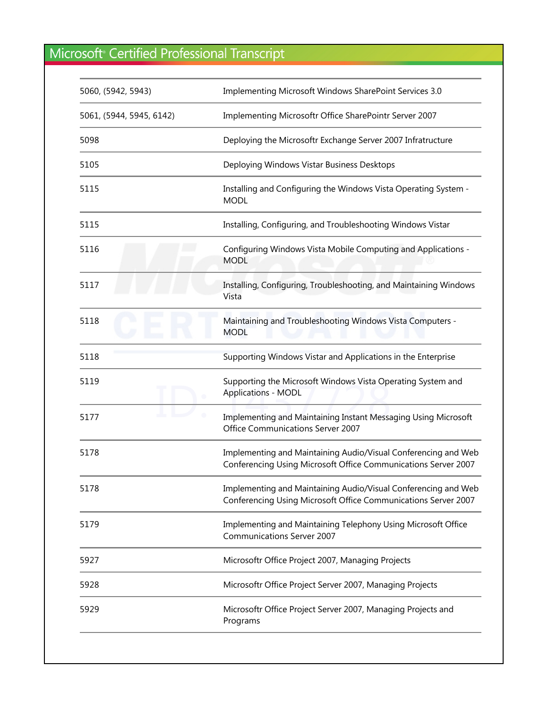| 5060, (5942, 5943)       | Implementing Microsoft Windows SharePoint Services 3.0                                                                           |
|--------------------------|----------------------------------------------------------------------------------------------------------------------------------|
| 5061, (5944, 5945, 6142) | Implementing Microsoftr Office SharePointr Server 2007                                                                           |
| 5098                     | Deploying the Microsoftr Exchange Server 2007 Infratructure                                                                      |
| 5105                     | Deploying Windows Vistar Business Desktops                                                                                       |
| 5115                     | Installing and Configuring the Windows Vista Operating System -<br><b>MODL</b>                                                   |
| 5115                     | Installing, Configuring, and Troubleshooting Windows Vistar                                                                      |
| 5116                     | Configuring Windows Vista Mobile Computing and Applications -<br><b>MODL</b>                                                     |
| 5117                     | Installing, Configuring, Troubleshooting, and Maintaining Windows<br>Vista                                                       |
| 5118                     | Maintaining and Troubleshooting Windows Vista Computers -<br><b>MODL</b>                                                         |
| 5118                     | Supporting Windows Vistar and Applications in the Enterprise                                                                     |
| 5119                     | Supporting the Microsoft Windows Vista Operating System and<br><b>Applications - MODL</b>                                        |
| 5177                     | Implementing and Maintaining Instant Messaging Using Microsoft<br>Office Communications Server 2007                              |
| 5178                     | Implementing and Maintaining Audio/Visual Conferencing and Web<br>Conferencing Using Microsoft Office Communications Server 2007 |
| 5178                     | Implementing and Maintaining Audio/Visual Conferencing and Web<br>Conferencing Using Microsoft Office Communications Server 2007 |
| 5179                     | Implementing and Maintaining Telephony Using Microsoft Office<br><b>Communications Server 2007</b>                               |
| 5927                     | Microsoftr Office Project 2007, Managing Projects                                                                                |
| 5928                     | Microsoftr Office Project Server 2007, Managing Projects                                                                         |
| 5929                     | Microsoftr Office Project Server 2007, Managing Projects and<br>Programs                                                         |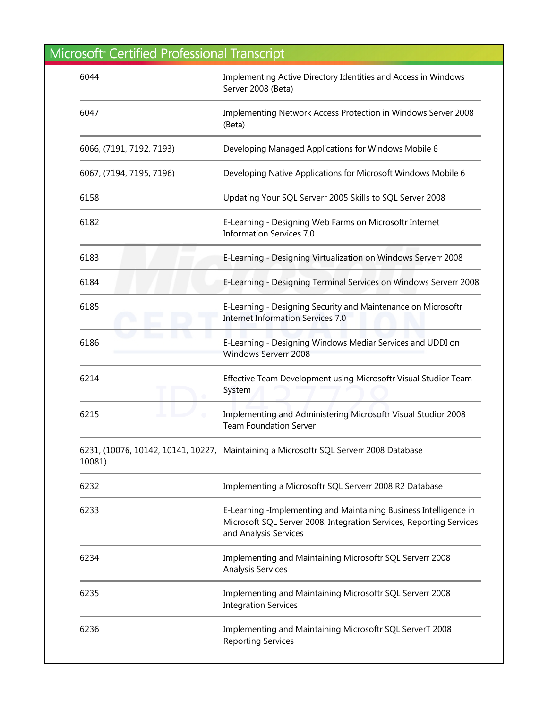| 6044                     | Implementing Active Directory Identities and Access in Windows<br>Server 2008 (Beta)                                                                              |
|--------------------------|-------------------------------------------------------------------------------------------------------------------------------------------------------------------|
| 6047                     | Implementing Network Access Protection in Windows Server 2008<br>(Beta)                                                                                           |
| 6066, (7191, 7192, 7193) | Developing Managed Applications for Windows Mobile 6                                                                                                              |
| 6067, (7194, 7195, 7196) | Developing Native Applications for Microsoft Windows Mobile 6                                                                                                     |
| 6158                     | Updating Your SQL Serverr 2005 Skills to SQL Server 2008                                                                                                          |
| 6182                     | E-Learning - Designing Web Farms on Microsoftr Internet<br><b>Information Services 7.0</b>                                                                        |
| 6183                     | E-Learning - Designing Virtualization on Windows Serverr 2008                                                                                                     |
| 6184                     | E-Learning - Designing Terminal Services on Windows Serverr 2008                                                                                                  |
| 6185                     | E-Learning - Designing Security and Maintenance on Microsoftr<br><b>Internet Information Services 7.0</b>                                                         |
| 6186                     | E-Learning - Designing Windows Mediar Services and UDDI on<br>Windows Serverr 2008                                                                                |
| 6214                     | Effective Team Development using Microsoftr Visual Studior Team<br>System                                                                                         |
| 6215                     | Implementing and Administering Microsoftr Visual Studior 2008<br><b>Team Foundation Server</b>                                                                    |
| 10081)                   | 6231, (10076, 10142, 10141, 10227, Maintaining a Microsoftr SQL Serverr 2008 Database                                                                             |
| 6232                     | Implementing a Microsoftr SQL Serverr 2008 R2 Database                                                                                                            |
| 6233                     | E-Learning -Implementing and Maintaining Business Intelligence in<br>Microsoft SQL Server 2008: Integration Services, Reporting Services<br>and Analysis Services |
| 6234                     | Implementing and Maintaining Microsoftr SQL Serverr 2008<br><b>Analysis Services</b>                                                                              |
| 6235                     | Implementing and Maintaining Microsoftr SQL Serverr 2008<br><b>Integration Services</b>                                                                           |
| 6236                     | Implementing and Maintaining Microsoftr SQL ServerT 2008<br><b>Reporting Services</b>                                                                             |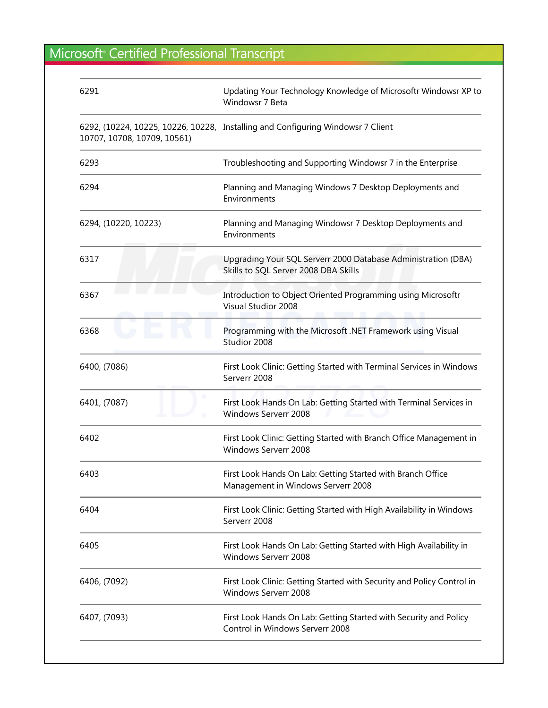| 6291                        | Updating Your Technology Knowledge of Microsoftr Windowsr XP to<br>Windowsr 7 Beta                    |
|-----------------------------|-------------------------------------------------------------------------------------------------------|
| 10707, 10708, 10709, 10561) | 6292, (10224, 10225, 10226, 10228, Installing and Configuring Windowsr 7 Client                       |
| 6293                        | Troubleshooting and Supporting Windowsr 7 in the Enterprise                                           |
| 6294                        | Planning and Managing Windows 7 Desktop Deployments and<br>Environments                               |
| 6294, (10220, 10223)        | Planning and Managing Windowsr 7 Desktop Deployments and<br>Environments                              |
| 6317                        | Upgrading Your SQL Serverr 2000 Database Administration (DBA)<br>Skills to SQL Server 2008 DBA Skills |
| 6367                        | Introduction to Object Oriented Programming using Microsoftr<br><b>Visual Studior 2008</b>            |
| 6368                        | Programming with the Microsoft .NET Framework using Visual<br>Studior 2008                            |
| 6400, (7086)                | First Look Clinic: Getting Started with Terminal Services in Windows<br>Serverr 2008                  |
| 6401, (7087)                | First Look Hands On Lab: Getting Started with Terminal Services in<br><b>Windows Serverr 2008</b>     |
| 6402                        | First Look Clinic: Getting Started with Branch Office Management in<br>Windows Serverr 2008           |
| 6403                        | First Look Hands On Lab: Getting Started with Branch Office<br>Management in Windows Serverr 2008     |
| 6404                        | First Look Clinic: Getting Started with High Availability in Windows<br>Serverr 2008                  |
| 6405                        | First Look Hands On Lab: Getting Started with High Availability in<br>Windows Serverr 2008            |
| 6406, (7092)                | First Look Clinic: Getting Started with Security and Policy Control in<br>Windows Serverr 2008        |
| 6407, (7093)                | First Look Hands On Lab: Getting Started with Security and Policy<br>Control in Windows Serverr 2008  |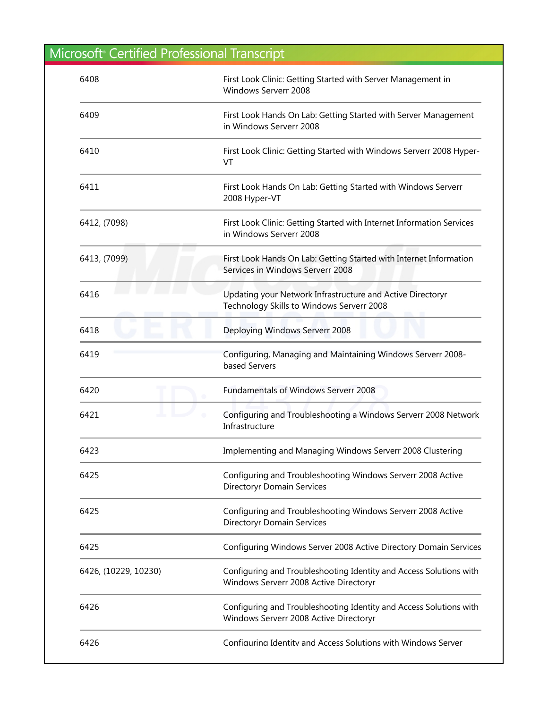| 6408                 | First Look Clinic: Getting Started with Server Management in<br>Windows Serverr 2008                         |
|----------------------|--------------------------------------------------------------------------------------------------------------|
| 6409                 | First Look Hands On Lab: Getting Started with Server Management<br>in Windows Serverr 2008                   |
| 6410                 | First Look Clinic: Getting Started with Windows Serverr 2008 Hyper-<br>VT                                    |
| 6411                 | First Look Hands On Lab: Getting Started with Windows Serverr<br>2008 Hyper-VT                               |
| 6412, (7098)         | First Look Clinic: Getting Started with Internet Information Services<br>in Windows Serverr 2008             |
| 6413, (7099)         | First Look Hands On Lab: Getting Started with Internet Information<br>Services in Windows Serverr 2008       |
| 6416                 | Updating your Network Infrastructure and Active Directoryr<br>Technology Skills to Windows Serverr 2008      |
| 6418                 | Deploying Windows Serverr 2008                                                                               |
| 6419                 | Configuring, Managing and Maintaining Windows Serverr 2008-<br>based Servers                                 |
| 6420                 | <b>Fundamentals of Windows Serverr 2008</b>                                                                  |
| 6421                 | Configuring and Troubleshooting a Windows Serverr 2008 Network<br>Infrastructure                             |
| 6423                 | Implementing and Managing Windows Serverr 2008 Clustering                                                    |
| 6425                 | Configuring and Troubleshooting Windows Serverr 2008 Active<br><b>Directoryr Domain Services</b>             |
| 6425                 | Configuring and Troubleshooting Windows Serverr 2008 Active<br><b>Directoryr Domain Services</b>             |
| 6425                 | Configuring Windows Server 2008 Active Directory Domain Services                                             |
| 6426, (10229, 10230) | Configuring and Troubleshooting Identity and Access Solutions with<br>Windows Serverr 2008 Active Directoryr |
| 6426                 | Configuring and Troubleshooting Identity and Access Solutions with<br>Windows Serverr 2008 Active Directoryr |
| 6426                 | Configuring Identity and Access Solutions with Windows Server                                                |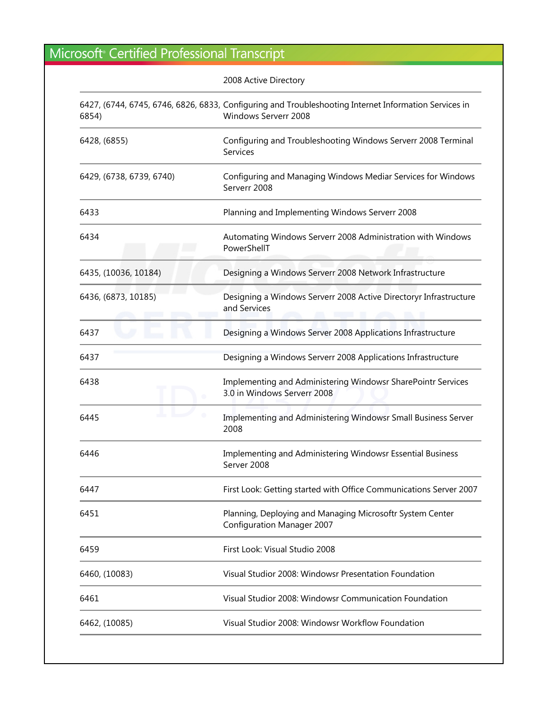|                          | 2008 Active Directory                                                                                                         |
|--------------------------|-------------------------------------------------------------------------------------------------------------------------------|
| 6854)                    | 6427, (6744, 6745, 6746, 6826, 6833, Configuring and Troubleshooting Internet Information Services in<br>Windows Serverr 2008 |
| 6428, (6855)             | Configuring and Troubleshooting Windows Serverr 2008 Terminal<br>Services                                                     |
| 6429, (6738, 6739, 6740) | Configuring and Managing Windows Mediar Services for Windows<br>Serverr 2008                                                  |
| 6433                     | Planning and Implementing Windows Serverr 2008                                                                                |
| 6434                     | Automating Windows Serverr 2008 Administration with Windows<br>PowerShellT                                                    |
| 6435, (10036, 10184)     | Designing a Windows Serverr 2008 Network Infrastructure                                                                       |
| 6436, (6873, 10185)      | Designing a Windows Serverr 2008 Active Directoryr Infrastructure<br>and Services                                             |
| 6437                     | Designing a Windows Server 2008 Applications Infrastructure                                                                   |
| 6437                     | Designing a Windows Serverr 2008 Applications Infrastructure                                                                  |
| 6438                     | Implementing and Administering Windowsr SharePointr Services<br>3.0 in Windows Serverr 2008                                   |
| 6445                     | Implementing and Administering Windowsr Small Business Server<br>2008                                                         |
| 6446                     | Implementing and Administering Windowsr Essential Business<br>Server 2008                                                     |
| 6447                     | First Look: Getting started with Office Communications Server 2007                                                            |
| 6451                     | Planning, Deploying and Managing Microsoftr System Center<br><b>Configuration Manager 2007</b>                                |
| 6459                     | First Look: Visual Studio 2008                                                                                                |
| 6460, (10083)            | Visual Studior 2008: Windowsr Presentation Foundation                                                                         |
| 6461                     | Visual Studior 2008: Windowsr Communication Foundation                                                                        |
| 6462, (10085)            | Visual Studior 2008: Windowsr Workflow Foundation                                                                             |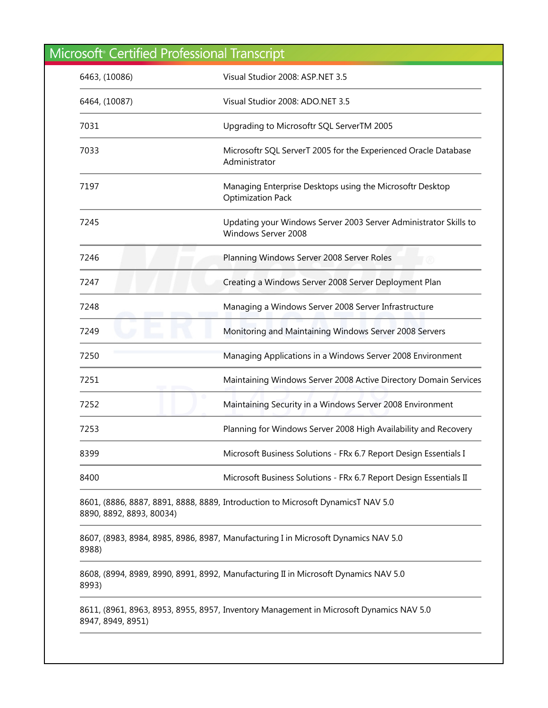| 6463, (10086)            | Visual Studior 2008: ASP.NET 3.5                                                        |
|--------------------------|-----------------------------------------------------------------------------------------|
| 6464, (10087)            | Visual Studior 2008: ADO.NET 3.5                                                        |
| 7031                     | Upgrading to Microsoftr SQL ServerTM 2005                                               |
| 7033                     | Microsoftr SQL ServerT 2005 for the Experienced Oracle Database<br>Administrator        |
| 7197                     | Managing Enterprise Desktops using the Microsoftr Desktop<br><b>Optimization Pack</b>   |
| 7245                     | Updating your Windows Server 2003 Server Administrator Skills to<br>Windows Server 2008 |
| 7246                     | Planning Windows Server 2008 Server Roles<br>$^{\circ}$                                 |
| 7247                     | Creating a Windows Server 2008 Server Deployment Plan                                   |
| 7248                     | Managing a Windows Server 2008 Server Infrastructure                                    |
| 7249                     | Monitoring and Maintaining Windows Server 2008 Servers                                  |
| 7250                     | Managing Applications in a Windows Server 2008 Environment                              |
| 7251                     | Maintaining Windows Server 2008 Active Directory Domain Services                        |
| 7252                     | Maintaining Security in a Windows Server 2008 Environment                               |
| 7253                     | Planning for Windows Server 2008 High Availability and Recovery                         |
| 8399                     | Microsoft Business Solutions - FRx 6.7 Report Design Essentials I                       |
| 8400                     | Microsoft Business Solutions - FRx 6.7 Report Design Essentials II                      |
| 8890, 8892, 8893, 80034) | 8601, (8886, 8887, 8891, 8888, 8889, Introduction to Microsoft DynamicsT NAV 5.0        |
| 8988)                    | 8607, (8983, 8984, 8985, 8986, 8987, Manufacturing I in Microsoft Dynamics NAV 5.0      |
| 8993)                    | 8608, (8994, 8989, 8990, 8991, 8992, Manufacturing II in Microsoft Dynamics NAV 5.0     |
| 8947, 8949, 8951)        | 8611, (8961, 8963, 8953, 8955, 8957, Inventory Management in Microsoft Dynamics NAV 5.0 |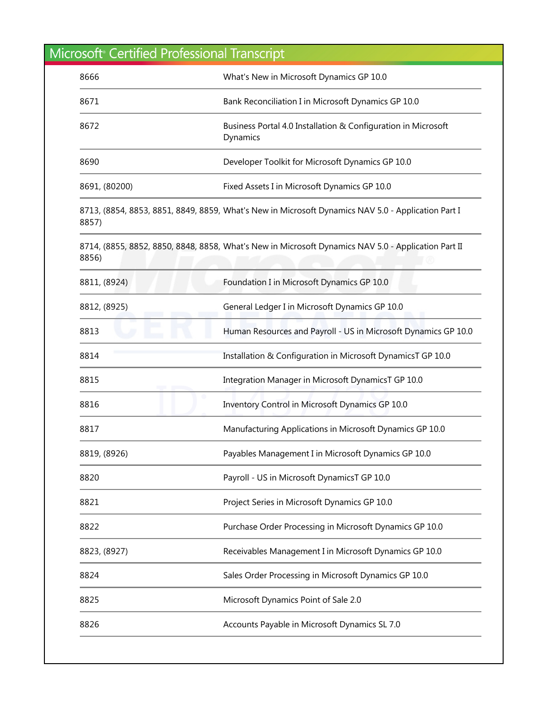| 8666          | What's New in Microsoft Dynamics GP 10.0                                                            |
|---------------|-----------------------------------------------------------------------------------------------------|
| 8671          | Bank Reconciliation I in Microsoft Dynamics GP 10.0                                                 |
| 8672          | Business Portal 4.0 Installation & Configuration in Microsoft<br>Dynamics                           |
| 8690          | Developer Toolkit for Microsoft Dynamics GP 10.0                                                    |
| 8691, (80200) | Fixed Assets I in Microsoft Dynamics GP 10.0                                                        |
| 8857)         | 8713, (8854, 8853, 8851, 8849, 8859, What's New in Microsoft Dynamics NAV 5.0 - Application Part I  |
| 8856)         | 8714, (8855, 8852, 8850, 8848, 8858, What's New in Microsoft Dynamics NAV 5.0 - Application Part II |
| 8811, (8924)  | Foundation I in Microsoft Dynamics GP 10.0                                                          |
| 8812, (8925)  | General Ledger I in Microsoft Dynamics GP 10.0                                                      |
| 8813          | Human Resources and Payroll - US in Microsoft Dynamics GP 10.0                                      |
| 8814          | Installation & Configuration in Microsoft DynamicsT GP 10.0                                         |
| 8815          | Integration Manager in Microsoft DynamicsT GP 10.0                                                  |
| 8816          | Inventory Control in Microsoft Dynamics GP 10.0                                                     |
| 8817          | Manufacturing Applications in Microsoft Dynamics GP 10.0                                            |
| 8819, (8926)  | Payables Management I in Microsoft Dynamics GP 10.0                                                 |
| 8820          | Payroll - US in Microsoft DynamicsT GP 10.0                                                         |
| 8821          | Project Series in Microsoft Dynamics GP 10.0                                                        |
| 8822          | Purchase Order Processing in Microsoft Dynamics GP 10.0                                             |
| 8823, (8927)  | Receivables Management I in Microsoft Dynamics GP 10.0                                              |
| 8824          | Sales Order Processing in Microsoft Dynamics GP 10.0                                                |
| 8825          | Microsoft Dynamics Point of Sale 2.0                                                                |
| 8826          | Accounts Payable in Microsoft Dynamics SL 7.0                                                       |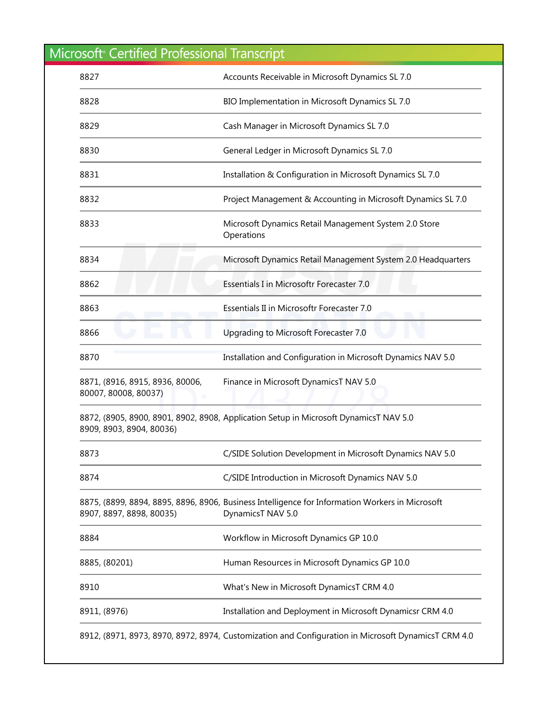| 8827                                                    | Accounts Receivable in Microsoft Dynamics SL 7.0                                                                     |
|---------------------------------------------------------|----------------------------------------------------------------------------------------------------------------------|
| 8828                                                    | BIO Implementation in Microsoft Dynamics SL 7.0                                                                      |
| 8829                                                    | Cash Manager in Microsoft Dynamics SL 7.0                                                                            |
| 8830                                                    | General Ledger in Microsoft Dynamics SL 7.0                                                                          |
| 8831                                                    | Installation & Configuration in Microsoft Dynamics SL 7.0                                                            |
| 8832                                                    | Project Management & Accounting in Microsoft Dynamics SL 7.0                                                         |
| 8833                                                    | Microsoft Dynamics Retail Management System 2.0 Store<br>Operations                                                  |
| 8834                                                    | Microsoft Dynamics Retail Management System 2.0 Headquarters                                                         |
| 8862                                                    | Essentials I in Microsoftr Forecaster 7.0                                                                            |
| 8863                                                    | Essentials II in Microsoftr Forecaster 7.0                                                                           |
| 8866                                                    | Upgrading to Microsoft Forecaster 7.0                                                                                |
| 8870                                                    | Installation and Configuration in Microsoft Dynamics NAV 5.0                                                         |
| 8871, (8916, 8915, 8936, 80006,<br>80007, 80008, 80037) | Finance in Microsoft DynamicsT NAV 5.0                                                                               |
| 8909, 8903, 8904, 80036)                                | 8872, (8905, 8900, 8901, 8902, 8908, Application Setup in Microsoft DynamicsT NAV 5.0                                |
| 8873                                                    | C/SIDE Solution Development in Microsoft Dynamics NAV 5.0                                                            |
| 8874                                                    | C/SIDE Introduction in Microsoft Dynamics NAV 5.0                                                                    |
| 8907, 8897, 8898, 80035)                                | 8875, (8899, 8894, 8895, 8896, 8906, Business Intelligence for Information Workers in Microsoft<br>DynamicsT NAV 5.0 |
| 8884                                                    | Workflow in Microsoft Dynamics GP 10.0                                                                               |
| 8885, (80201)                                           | Human Resources in Microsoft Dynamics GP 10.0                                                                        |
| 8910                                                    | What's New in Microsoft DynamicsT CRM 4.0                                                                            |
| 8911, (8976)                                            | Installation and Deployment in Microsoft Dynamicsr CRM 4.0                                                           |
|                                                         | 8912, (8971, 8973, 8970, 8972, 8974, Customization and Configuration in Microsoft DynamicsT CRM 4.0                  |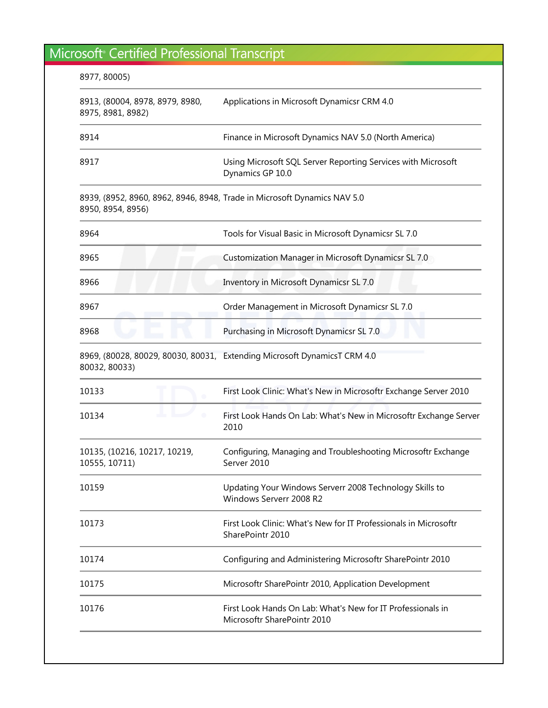| 8977, 80005)                                         |                                                                                            |
|------------------------------------------------------|--------------------------------------------------------------------------------------------|
| 8913, (80004, 8978, 8979, 8980,<br>8975, 8981, 8982) | Applications in Microsoft Dynamicsr CRM 4.0                                                |
| 8914                                                 | Finance in Microsoft Dynamics NAV 5.0 (North America)                                      |
| 8917                                                 | Using Microsoft SQL Server Reporting Services with Microsoft<br>Dynamics GP 10.0           |
| 8950, 8954, 8956)                                    | 8939, (8952, 8960, 8962, 8946, 8948, Trade in Microsoft Dynamics NAV 5.0                   |
| 8964                                                 | Tools for Visual Basic in Microsoft Dynamicsr SL 7.0                                       |
| 8965                                                 | Customization Manager in Microsoft Dynamicsr SL 7.0                                        |
| 8966                                                 | Inventory in Microsoft Dynamicsr SL 7.0                                                    |
| 8967                                                 | Order Management in Microsoft Dynamicsr SL 7.0                                             |
| 8968                                                 | Purchasing in Microsoft Dynamicsr SL 7.0                                                   |
| 80032, 80033)                                        | 8969, (80028, 80029, 80030, 80031, Extending Microsoft DynamicsT CRM 4.0                   |
| 10133                                                | First Look Clinic: What's New in Microsoftr Exchange Server 2010                           |
| 10134                                                | First Look Hands On Lab: What's New in Microsoftr Exchange Server<br>2010                  |
| 10135, (10216, 10217, 10219,<br>10555, 10711)        | Configuring, Managing and Troubleshooting Microsoftr Exchange<br>Server 2010               |
| 10159                                                | Updating Your Windows Serverr 2008 Technology Skills to<br>Windows Serverr 2008 R2         |
| 10173                                                | First Look Clinic: What's New for IT Professionals in Microsoftr<br>SharePointr 2010       |
| 10174                                                | Configuring and Administering Microsoftr SharePointr 2010                                  |
| 10175                                                | Microsoftr SharePointr 2010, Application Development                                       |
| 10176                                                | First Look Hands On Lab: What's New for IT Professionals in<br>Microsoftr SharePointr 2010 |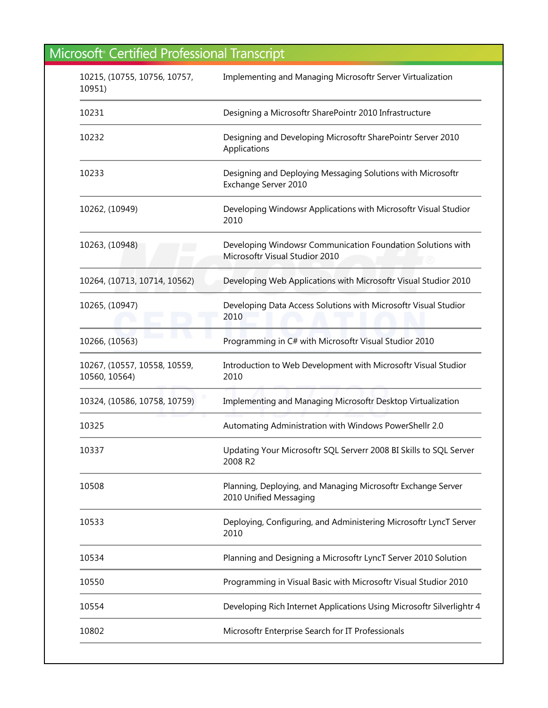| 10215, (10755, 10756, 10757,<br>10951)        | Implementing and Managing Microsoftr Server Virtualization                                    |
|-----------------------------------------------|-----------------------------------------------------------------------------------------------|
| 10231                                         | Designing a Microsoftr SharePointr 2010 Infrastructure                                        |
| 10232                                         | Designing and Developing Microsoftr SharePointr Server 2010<br>Applications                   |
| 10233                                         | Designing and Deploying Messaging Solutions with Microsoftr<br>Exchange Server 2010           |
| 10262, (10949)                                | Developing Windowsr Applications with Microsoftr Visual Studior<br>2010                       |
| 10263, (10948)                                | Developing Windowsr Communication Foundation Solutions with<br>Microsoftr Visual Studior 2010 |
| 10264, (10713, 10714, 10562)                  | Developing Web Applications with Microsoftr Visual Studior 2010                               |
| 10265, (10947)                                | Developing Data Access Solutions with Microsoftr Visual Studior<br>2010                       |
| 10266, (10563)                                | Programming in C# with Microsoftr Visual Studior 2010                                         |
| 10267, (10557, 10558, 10559,<br>10560, 10564) | Introduction to Web Development with Microsoftr Visual Studior<br>2010                        |
| 10324, (10586, 10758, 10759)                  | Implementing and Managing Microsoftr Desktop Virtualization                                   |
| 10325                                         | Automating Administration with Windows PowerShellr 2.0                                        |
| 10337                                         | Updating Your Microsoftr SQL Serverr 2008 BI Skills to SQL Server<br>2008 R2                  |
| 10508                                         | Planning, Deploying, and Managing Microsoftr Exchange Server<br>2010 Unified Messaging        |
| 10533                                         | Deploying, Configuring, and Administering Microsoftr LyncT Server<br>2010                     |
| 10534                                         | Planning and Designing a Microsoftr LyncT Server 2010 Solution                                |
| 10550                                         | Programming in Visual Basic with Microsoftr Visual Studior 2010                               |
| 10554                                         | Developing Rich Internet Applications Using Microsoftr Silverlightr 4                         |
| 10802                                         | Microsoftr Enterprise Search for IT Professionals                                             |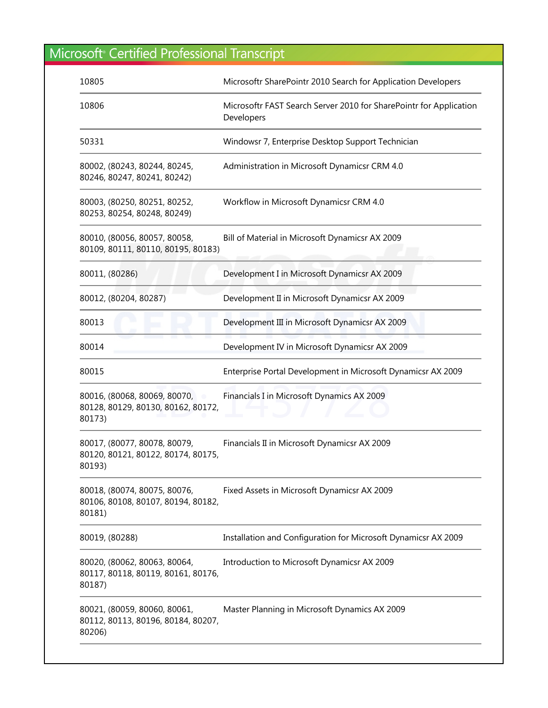| 10805                                                                        | Microsoftr SharePointr 2010 Search for Application Developers                    |
|------------------------------------------------------------------------------|----------------------------------------------------------------------------------|
| 10806                                                                        | Microsoftr FAST Search Server 2010 for SharePointr for Application<br>Developers |
| 50331                                                                        | Windowsr 7, Enterprise Desktop Support Technician                                |
| 80002, (80243, 80244, 80245,<br>80246, 80247, 80241, 80242)                  | Administration in Microsoft Dynamicsr CRM 4.0                                    |
| 80003, (80250, 80251, 80252,<br>80253, 80254, 80248, 80249)                  | Workflow in Microsoft Dynamicsr CRM 4.0                                          |
| 80010, (80056, 80057, 80058,<br>80109, 80111, 80110, 80195, 80183)           | Bill of Material in Microsoft Dynamicsr AX 2009                                  |
| 80011, (80286)                                                               | Development I in Microsoft Dynamicsr AX 2009                                     |
| 80012, (80204, 80287)                                                        | Development II in Microsoft Dynamicsr AX 2009                                    |
| 80013                                                                        | Development III in Microsoft Dynamicsr AX 2009                                   |
| 80014                                                                        | Development IV in Microsoft Dynamicsr AX 2009                                    |
| 80015                                                                        | Enterprise Portal Development in Microsoft Dynamicsr AX 2009                     |
| 80016, (80068, 80069, 80070,<br>80128, 80129, 80130, 80162, 80172,<br>80173) | Financials I in Microsoft Dynamics AX 2009                                       |
| 80017, (80077, 80078, 80079,<br>80120, 80121, 80122, 80174, 80175,<br>80193) | Financials II in Microsoft Dynamicsr AX 2009                                     |
| 80018, (80074, 80075, 80076,<br>80106, 80108, 80107, 80194, 80182,<br>80181) | Fixed Assets in Microsoft Dynamicsr AX 2009                                      |
| 80019, (80288)                                                               | Installation and Configuration for Microsoft Dynamicsr AX 2009                   |
| 80020, (80062, 80063, 80064,<br>80117, 80118, 80119, 80161, 80176,<br>80187) | Introduction to Microsoft Dynamicsr AX 2009                                      |
| 80021, (80059, 80060, 80061,<br>80112, 80113, 80196, 80184, 80207,<br>80206) | Master Planning in Microsoft Dynamics AX 2009                                    |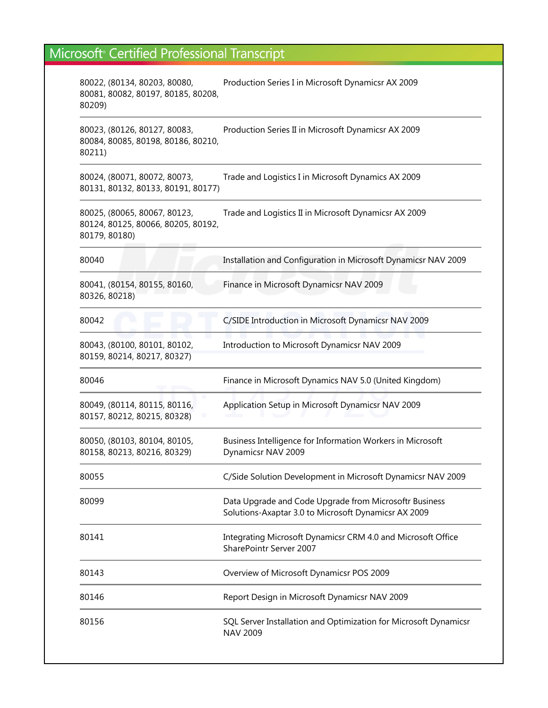| 80022, (80134, 80203, 80080,<br>80081, 80082, 80197, 80185, 80208,<br>80209)        | Production Series I in Microsoft Dynamicsr AX 2009                                                             |
|-------------------------------------------------------------------------------------|----------------------------------------------------------------------------------------------------------------|
| 80023, (80126, 80127, 80083,<br>80084, 80085, 80198, 80186, 80210,<br>80211)        | Production Series II in Microsoft Dynamicsr AX 2009                                                            |
| 80024, (80071, 80072, 80073,<br>80131, 80132, 80133, 80191, 80177)                  | Trade and Logistics I in Microsoft Dynamics AX 2009                                                            |
| 80025, (80065, 80067, 80123,<br>80124, 80125, 80066, 80205, 80192,<br>80179, 80180) | Trade and Logistics II in Microsoft Dynamicsr AX 2009                                                          |
| 80040                                                                               | Installation and Configuration in Microsoft Dynamicsr NAV 2009                                                 |
| 80041, (80154, 80155, 80160,<br>80326, 80218)                                       | Finance in Microsoft Dynamicsr NAV 2009                                                                        |
| 80042                                                                               | C/SIDE Introduction in Microsoft Dynamicsr NAV 2009                                                            |
| 80043, (80100, 80101, 80102,<br>80159, 80214, 80217, 80327)                         | Introduction to Microsoft Dynamicsr NAV 2009                                                                   |
| 80046                                                                               | Finance in Microsoft Dynamics NAV 5.0 (United Kingdom)                                                         |
| 80049, (80114, 80115, 80116,<br>80157, 80212, 80215, 80328)                         | Application Setup in Microsoft Dynamicsr NAV 2009                                                              |
| 80050, (80103, 80104, 80105,<br>80158, 80213, 80216, 80329)                         | Business Intelligence for Information Workers in Microsoft<br>Dynamicsr NAV 2009                               |
| 80055                                                                               | C/Side Solution Development in Microsoft Dynamicsr NAV 2009                                                    |
| 80099                                                                               | Data Upgrade and Code Upgrade from Microsoftr Business<br>Solutions-Axaptar 3.0 to Microsoft Dynamicsr AX 2009 |
| 80141                                                                               | Integrating Microsoft Dynamicsr CRM 4.0 and Microsoft Office<br>SharePointr Server 2007                        |
| 80143                                                                               | Overview of Microsoft Dynamicsr POS 2009                                                                       |
| 80146                                                                               | Report Design in Microsoft Dynamicsr NAV 2009                                                                  |
| 80156                                                                               | SQL Server Installation and Optimization for Microsoft Dynamicsr<br><b>NAV 2009</b>                            |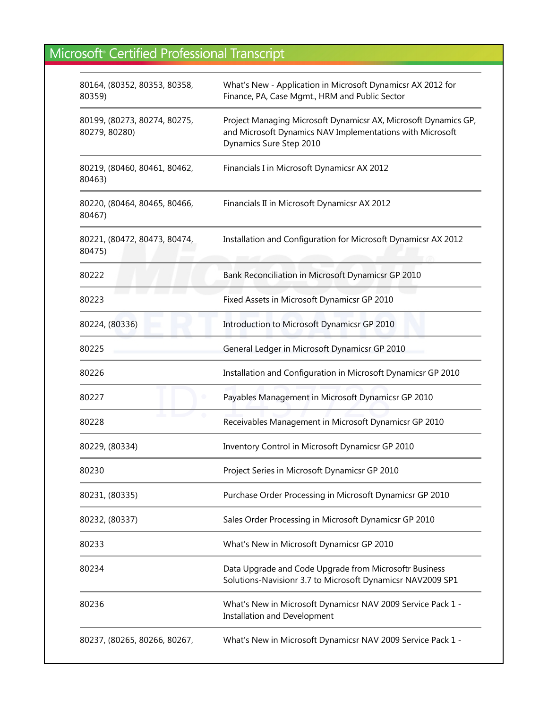| 80164, (80352, 80353, 80358,<br>80359)        | What's New - Application in Microsoft Dynamicsr AX 2012 for<br>Finance, PA, Case Mgmt., HRM and Public Sector                                           |
|-----------------------------------------------|---------------------------------------------------------------------------------------------------------------------------------------------------------|
| 80199, (80273, 80274, 80275,<br>80279, 80280) | Project Managing Microsoft Dynamicsr AX, Microsoft Dynamics GP,<br>and Microsoft Dynamics NAV Implementations with Microsoft<br>Dynamics Sure Step 2010 |
| 80219, (80460, 80461, 80462,<br>80463)        | Financials I in Microsoft Dynamicsr AX 2012                                                                                                             |
| 80220, (80464, 80465, 80466,<br>80467)        | Financials II in Microsoft Dynamicsr AX 2012                                                                                                            |
| 80221, (80472, 80473, 80474,<br>80475)        | Installation and Configuration for Microsoft Dynamicsr AX 2012                                                                                          |
| 80222                                         | Bank Reconciliation in Microsoft Dynamicsr GP 2010                                                                                                      |
| 80223                                         | Fixed Assets in Microsoft Dynamicsr GP 2010                                                                                                             |
| 80224, (80336)                                | Introduction to Microsoft Dynamicsr GP 2010                                                                                                             |
| 80225                                         | General Ledger in Microsoft Dynamicsr GP 2010                                                                                                           |
| 80226                                         | Installation and Configuration in Microsoft Dynamicsr GP 2010                                                                                           |
| 80227                                         | Payables Management in Microsoft Dynamicsr GP 2010                                                                                                      |
| 80228                                         | Receivables Management in Microsoft Dynamicsr GP 2010                                                                                                   |
| 80229, (80334)                                | Inventory Control in Microsoft Dynamicsr GP 2010                                                                                                        |
| 80230                                         | Project Series in Microsoft Dynamicsr GP 2010                                                                                                           |
| 80231, (80335)                                | Purchase Order Processing in Microsoft Dynamicsr GP 2010                                                                                                |
| 80232, (80337)                                | Sales Order Processing in Microsoft Dynamicsr GP 2010                                                                                                   |
| 80233                                         | What's New in Microsoft Dynamicsr GP 2010                                                                                                               |
| 80234                                         | Data Upgrade and Code Upgrade from Microsoftr Business<br>Solutions-Navisionr 3.7 to Microsoft Dynamicsr NAV2009 SP1                                    |
| 80236                                         | What's New in Microsoft Dynamicsr NAV 2009 Service Pack 1 -<br>Installation and Development                                                             |
| 80237, (80265, 80266, 80267,                  | What's New in Microsoft Dynamicsr NAV 2009 Service Pack 1 -                                                                                             |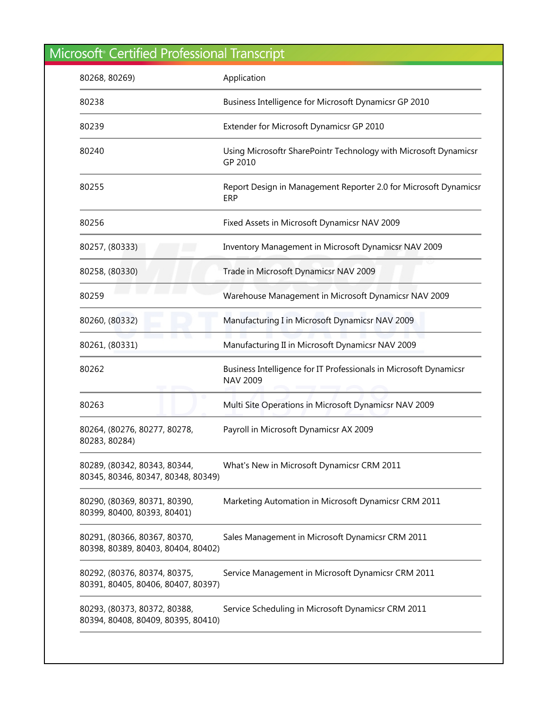| 80268, 80269)                                                      | Application                                                                          |
|--------------------------------------------------------------------|--------------------------------------------------------------------------------------|
| 80238                                                              | Business Intelligence for Microsoft Dynamicsr GP 2010                                |
| 80239                                                              | Extender for Microsoft Dynamicsr GP 2010                                             |
| 80240                                                              | Using Microsoftr SharePointr Technology with Microsoft Dynamicsr<br>GP 2010          |
| 80255                                                              | Report Design in Management Reporter 2.0 for Microsoft Dynamicsr<br>ERP              |
| 80256                                                              | Fixed Assets in Microsoft Dynamicsr NAV 2009                                         |
| 80257, (80333)                                                     | Inventory Management in Microsoft Dynamicsr NAV 2009                                 |
| 80258, (80330)                                                     | Trade in Microsoft Dynamicsr NAV 2009                                                |
| 80259                                                              | Warehouse Management in Microsoft Dynamicsr NAV 2009                                 |
| 80260, (80332)                                                     | Manufacturing I in Microsoft Dynamicsr NAV 2009                                      |
| 80261, (80331)                                                     | Manufacturing II in Microsoft Dynamicsr NAV 2009                                     |
| 80262                                                              | Business Intelligence for IT Professionals in Microsoft Dynamicsr<br><b>NAV 2009</b> |
| 80263                                                              | Multi Site Operations in Microsoft Dynamicsr NAV 2009                                |
| 80264, (80276, 80277, 80278,<br>80283, 80284)                      | Payroll in Microsoft Dynamicsr AX 2009                                               |
| 80289, (80342, 80343, 80344,<br>80345, 80346, 80347, 80348, 80349) | What's New in Microsoft Dynamicsr CRM 2011                                           |
| 80290, (80369, 80371, 80390,<br>80399, 80400, 80393, 80401)        | Marketing Automation in Microsoft Dynamicsr CRM 2011                                 |
| 80291, (80366, 80367, 80370,<br>80398, 80389, 80403, 80404, 80402) | Sales Management in Microsoft Dynamicsr CRM 2011                                     |
| 80292, (80376, 80374, 80375,<br>80391, 80405, 80406, 80407, 80397) | Service Management in Microsoft Dynamicsr CRM 2011                                   |
| 80293, (80373, 80372, 80388,<br>80394, 80408, 80409, 80395, 80410) | Service Scheduling in Microsoft Dynamicsr CRM 2011                                   |
|                                                                    |                                                                                      |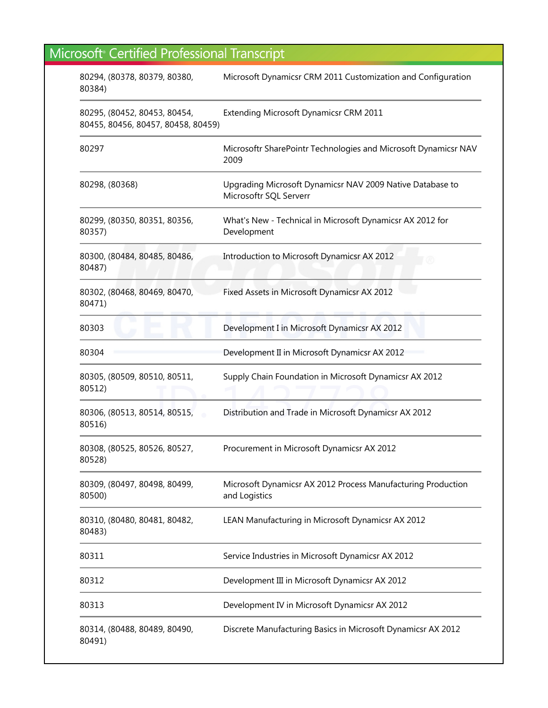| 80294, (80378, 80379, 80380,<br>80384)                             | Microsoft Dynamicsr CRM 2011 Customization and Configuration                        |
|--------------------------------------------------------------------|-------------------------------------------------------------------------------------|
| 80295, (80452, 80453, 80454,<br>80455, 80456, 80457, 80458, 80459) | Extending Microsoft Dynamicsr CRM 2011                                              |
| 80297                                                              | Microsoftr SharePointr Technologies and Microsoft Dynamicsr NAV<br>2009             |
| 80298, (80368)                                                     | Upgrading Microsoft Dynamicsr NAV 2009 Native Database to<br>Microsoftr SQL Serverr |
| 80299, (80350, 80351, 80356,<br>80357)                             | What's New - Technical in Microsoft Dynamicsr AX 2012 for<br>Development            |
| 80300, (80484, 80485, 80486,<br>80487)                             | Introduction to Microsoft Dynamicsr AX 2012                                         |
| 80302, (80468, 80469, 80470,<br>80471)                             | Fixed Assets in Microsoft Dynamicsr AX 2012                                         |
| 80303                                                              | Development I in Microsoft Dynamicsr AX 2012                                        |
| 80304                                                              | Development II in Microsoft Dynamicsr AX 2012                                       |
| 80305, (80509, 80510, 80511,<br>80512)                             | Supply Chain Foundation in Microsoft Dynamicsr AX 2012                              |
| 80306, (80513, 80514, 80515,<br>80516)                             | Distribution and Trade in Microsoft Dynamicsr AX 2012                               |
| 80308, (80525, 80526, 80527,<br>80528)                             | Procurement in Microsoft Dynamicsr AX 2012                                          |
| 80309, (80497, 80498, 80499,<br>80500)                             | Microsoft Dynamicsr AX 2012 Process Manufacturing Production<br>and Logistics       |
| 80310, (80480, 80481, 80482,<br>80483)                             | LEAN Manufacturing in Microsoft Dynamicsr AX 2012                                   |
| 80311                                                              | Service Industries in Microsoft Dynamicsr AX 2012                                   |
| 80312                                                              | Development III in Microsoft Dynamicsr AX 2012                                      |
| 80313                                                              | Development IV in Microsoft Dynamicsr AX 2012                                       |
| 80314, (80488, 80489, 80490,<br>80491)                             | Discrete Manufacturing Basics in Microsoft Dynamicsr AX 2012                        |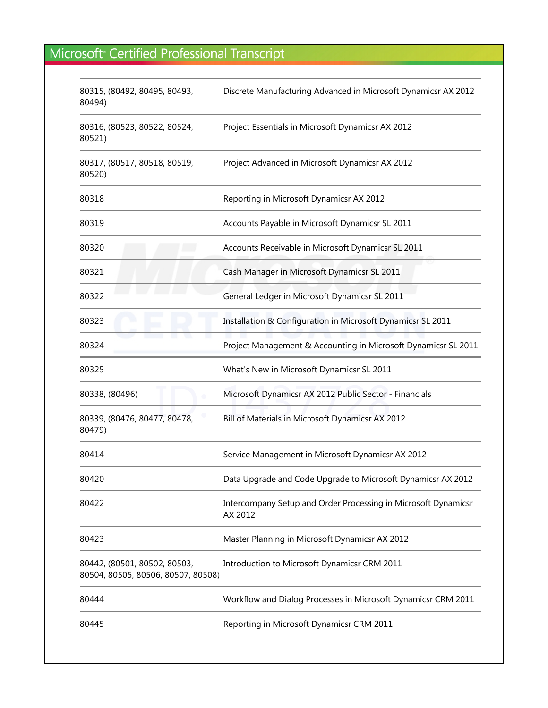| 80315, (80492, 80495, 80493,<br>80494)                             | Discrete Manufacturing Advanced in Microsoft Dynamicsr AX 2012            |
|--------------------------------------------------------------------|---------------------------------------------------------------------------|
| 80316, (80523, 80522, 80524,<br>80521)                             | Project Essentials in Microsoft Dynamicsr AX 2012                         |
| 80317, (80517, 80518, 80519,<br>80520)                             | Project Advanced in Microsoft Dynamicsr AX 2012                           |
| 80318                                                              | Reporting in Microsoft Dynamicsr AX 2012                                  |
| 80319                                                              | Accounts Payable in Microsoft Dynamicsr SL 2011                           |
| 80320                                                              | Accounts Receivable in Microsoft Dynamicsr SL 2011                        |
| 80321                                                              | Cash Manager in Microsoft Dynamicsr SL 2011                               |
| 80322                                                              | General Ledger in Microsoft Dynamicsr SL 2011                             |
| 80323                                                              | Installation & Configuration in Microsoft Dynamicsr SL 2011               |
| 80324                                                              | Project Management & Accounting in Microsoft Dynamicsr SL 2011            |
| 80325                                                              | What's New in Microsoft Dynamicsr SL 2011                                 |
| 80338, (80496)                                                     | Microsoft Dynamicsr AX 2012 Public Sector - Financials                    |
| 80339, (80476, 80477, 80478,<br>80479)                             | Bill of Materials in Microsoft Dynamicsr AX 2012                          |
| 80414                                                              | Service Management in Microsoft Dynamicsr AX 2012                         |
| 80420                                                              | Data Upgrade and Code Upgrade to Microsoft Dynamicsr AX 2012              |
| 80422                                                              | Intercompany Setup and Order Processing in Microsoft Dynamicsr<br>AX 2012 |
| 80423                                                              | Master Planning in Microsoft Dynamicsr AX 2012                            |
| 80442, (80501, 80502, 80503,<br>80504, 80505, 80506, 80507, 80508) | Introduction to Microsoft Dynamicsr CRM 2011                              |
| 80444                                                              | Workflow and Dialog Processes in Microsoft Dynamicsr CRM 2011             |
| 80445                                                              | Reporting in Microsoft Dynamicsr CRM 2011                                 |
|                                                                    |                                                                           |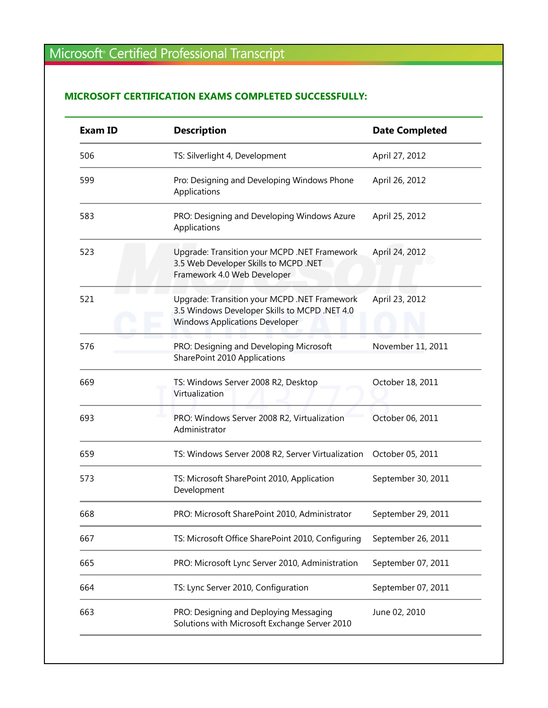#### **MICROSOFT CERTIFICATION EXAMS COMPLETED SUCCESSFULLY:**

| <b>Exam ID</b> | <b>Description</b>                                                                                                                     | <b>Date Completed</b> |
|----------------|----------------------------------------------------------------------------------------------------------------------------------------|-----------------------|
| 506            | TS: Silverlight 4, Development                                                                                                         | April 27, 2012        |
| 599            | Pro: Designing and Developing Windows Phone<br>Applications                                                                            | April 26, 2012        |
| 583            | PRO: Designing and Developing Windows Azure<br>Applications                                                                            | April 25, 2012        |
| 523            | Upgrade: Transition your MCPD .NET Framework<br>3.5 Web Developer Skills to MCPD .NET<br>Framework 4.0 Web Developer                   | April 24, 2012        |
| 521            | Upgrade: Transition your MCPD .NET Framework<br>3.5 Windows Developer Skills to MCPD .NET 4.0<br><b>Windows Applications Developer</b> | April 23, 2012        |
| 576            | PRO: Designing and Developing Microsoft<br>SharePoint 2010 Applications                                                                | November 11, 2011     |
| 669            | TS: Windows Server 2008 R2, Desktop<br>Virtualization                                                                                  | October 18, 2011      |
| 693            | PRO: Windows Server 2008 R2, Virtualization<br>Administrator                                                                           | October 06, 2011      |
| 659            | TS: Windows Server 2008 R2, Server Virtualization                                                                                      | October 05, 2011      |
| 573            | TS: Microsoft SharePoint 2010, Application<br>Development                                                                              | September 30, 2011    |
| 668            | PRO: Microsoft SharePoint 2010, Administrator                                                                                          | September 29, 2011    |
| 667            | TS: Microsoft Office SharePoint 2010, Configuring                                                                                      | September 26, 2011    |
| 665            | PRO: Microsoft Lync Server 2010, Administration                                                                                        | September 07, 2011    |
| 664            | TS: Lync Server 2010, Configuration                                                                                                    | September 07, 2011    |
| 663            | PRO: Designing and Deploying Messaging<br>Solutions with Microsoft Exchange Server 2010                                                | June 02, 2010         |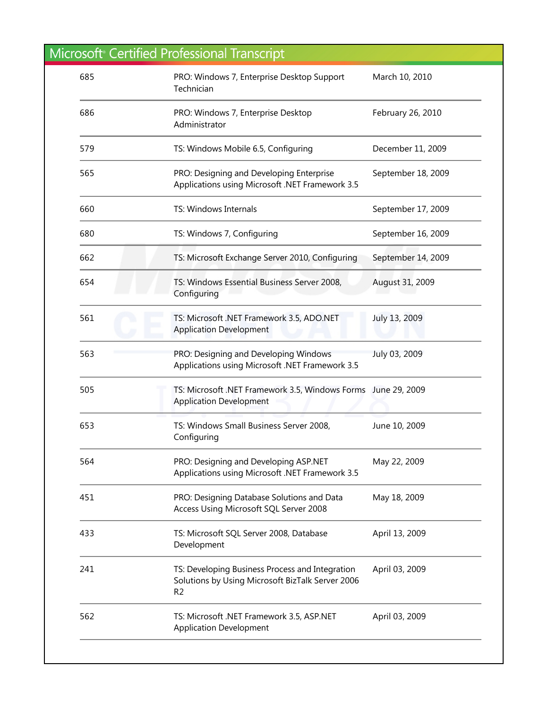| 685 | PRO: Windows 7, Enterprise Desktop Support<br>Technician                                                              | March 10, 2010     |
|-----|-----------------------------------------------------------------------------------------------------------------------|--------------------|
| 686 | PRO: Windows 7, Enterprise Desktop<br>Administrator                                                                   | February 26, 2010  |
| 579 | TS: Windows Mobile 6.5, Configuring                                                                                   | December 11, 2009  |
| 565 | PRO: Designing and Developing Enterprise<br>Applications using Microsoft .NET Framework 3.5                           | September 18, 2009 |
| 660 | TS: Windows Internals                                                                                                 | September 17, 2009 |
| 680 | TS: Windows 7, Configuring                                                                                            | September 16, 2009 |
| 662 | TS: Microsoft Exchange Server 2010, Configuring                                                                       | September 14, 2009 |
| 654 | TS: Windows Essential Business Server 2008,<br>Configuring                                                            | August 31, 2009    |
| 561 | TS: Microsoft .NET Framework 3.5, ADO.NET<br><b>Application Development</b>                                           | July 13, 2009      |
| 563 | PRO: Designing and Developing Windows<br>Applications using Microsoft .NET Framework 3.5                              | July 03, 2009      |
| 505 | TS: Microsoft .NET Framework 3.5, Windows Forms June 29, 2009<br><b>Application Development</b>                       |                    |
| 653 | TS: Windows Small Business Server 2008,<br>Configuring                                                                | June 10, 2009      |
| 564 | PRO: Designing and Developing ASP.NET<br>Applications using Microsoft .NET Framework 3.5                              | May 22, 2009       |
| 451 | PRO: Designing Database Solutions and Data<br>Access Using Microsoft SQL Server 2008                                  | May 18, 2009       |
| 433 | TS: Microsoft SQL Server 2008, Database<br>Development                                                                | April 13, 2009     |
| 241 | TS: Developing Business Process and Integration<br>Solutions by Using Microsoft BizTalk Server 2006<br>R <sub>2</sub> | April 03, 2009     |
| 562 | TS: Microsoft .NET Framework 3.5, ASP.NET<br><b>Application Development</b>                                           | April 03, 2009     |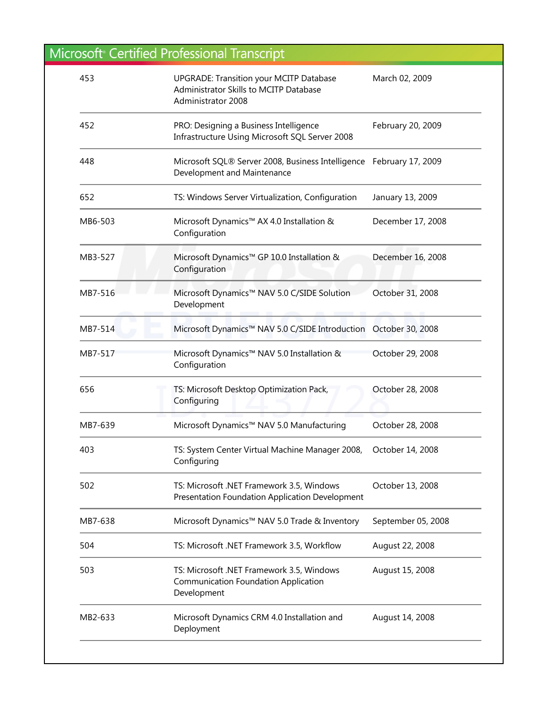| MB7-638<br>504 | Microsoft Dynamics™ NAV 5.0 Trade & Inventory<br>TS: Microsoft .NET Framework 3.5, Workflow                    | September 05, 2008<br>August 22, 2008 |
|----------------|----------------------------------------------------------------------------------------------------------------|---------------------------------------|
| 502            | TS: Microsoft .NET Framework 3.5, Windows<br>Presentation Foundation Application Development                   | October 13, 2008                      |
| 403            | TS: System Center Virtual Machine Manager 2008,<br>Configuring                                                 | October 14, 2008                      |
| MB7-639        | Microsoft Dynamics™ NAV 5.0 Manufacturing                                                                      | October 28, 2008                      |
| 656            | TS: Microsoft Desktop Optimization Pack,<br>Configuring                                                        | October 28, 2008                      |
| MB7-517        | Microsoft Dynamics™ NAV 5.0 Installation &<br>Configuration                                                    | October 29, 2008                      |
| MB7-514        | Microsoft Dynamics™ NAV 5.0 C/SIDE Introduction October 30, 2008                                               |                                       |
| MB7-516        | Microsoft Dynamics™ NAV 5.0 C/SIDE Solution<br>Development                                                     | October 31, 2008                      |
| MB3-527        | Microsoft Dynamics™ GP 10.0 Installation &<br>Configuration                                                    | December 16, 2008                     |
| MB6-503        | Microsoft Dynamics™ AX 4.0 Installation &<br>Configuration                                                     | December 17, 2008                     |
| 652            | TS: Windows Server Virtualization, Configuration                                                               | January 13, 2009                      |
| 448            | Microsoft SQL® Server 2008, Business Intelligence February 17, 2009<br>Development and Maintenance             |                                       |
| 452            | PRO: Designing a Business Intelligence<br>Infrastructure Using Microsoft SQL Server 2008                       | February 20, 2009                     |
| 453            | <b>UPGRADE: Transition your MCITP Database</b><br>Administrator Skills to MCITP Database<br>Administrator 2008 | March 02, 2009                        |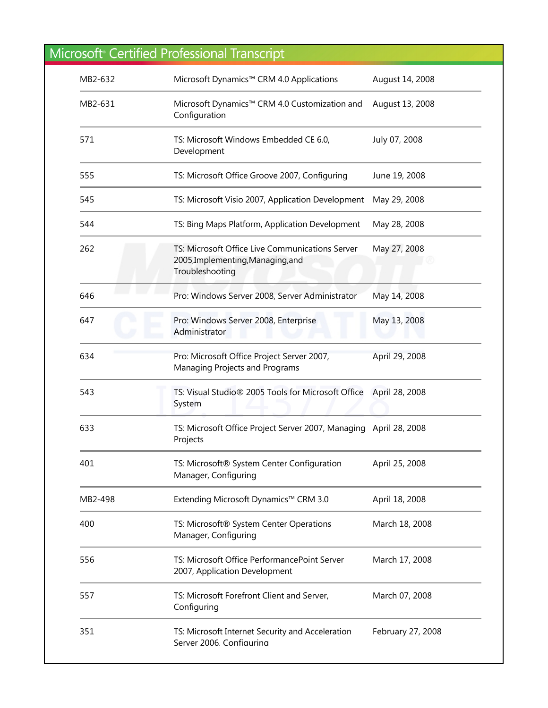| MB2-632 | Microsoft Dynamics™ CRM 4.0 Applications                                                                | August 14, 2008   |
|---------|---------------------------------------------------------------------------------------------------------|-------------------|
| MB2-631 | Microsoft Dynamics™ CRM 4.0 Customization and<br>Configuration                                          | August 13, 2008   |
| 571     | TS: Microsoft Windows Embedded CE 6.0,<br>Development                                                   | July 07, 2008     |
| 555     | TS: Microsoft Office Groove 2007, Configuring                                                           | June 19, 2008     |
| 545     | TS: Microsoft Visio 2007, Application Development                                                       | May 29, 2008      |
| 544     | TS: Bing Maps Platform, Application Development                                                         | May 28, 2008      |
| 262     | TS: Microsoft Office Live Communications Server<br>2005, Implementing, Managing, and<br>Troubleshooting | May 27, 2008      |
| 646     | Pro: Windows Server 2008, Server Administrator                                                          | May 14, 2008      |
| 647     | Pro: Windows Server 2008, Enterprise<br>Administrator                                                   | May 13, 2008      |
| 634     | Pro: Microsoft Office Project Server 2007,<br>Managing Projects and Programs                            | April 29, 2008    |
| 543     | TS: Visual Studio® 2005 Tools for Microsoft Office<br>System                                            | April 28, 2008    |
| 633     | TS: Microsoft Office Project Server 2007, Managing April 28, 2008<br>Projects                           |                   |
| 401     | TS: Microsoft® System Center Configuration<br>Manager, Configuring                                      | April 25, 2008    |
| MB2-498 | Extending Microsoft Dynamics™ CRM 3.0                                                                   | April 18, 2008    |
| 400     | TS: Microsoft® System Center Operations<br>Manager, Configuring                                         | March 18, 2008    |
| 556     | TS: Microsoft Office PerformancePoint Server<br>2007, Application Development                           | March 17, 2008    |
| 557     | TS: Microsoft Forefront Client and Server,<br>Configuring                                               | March 07, 2008    |
| 351     | TS: Microsoft Internet Security and Acceleration<br>Server 2006. Configuring                            | February 27, 2008 |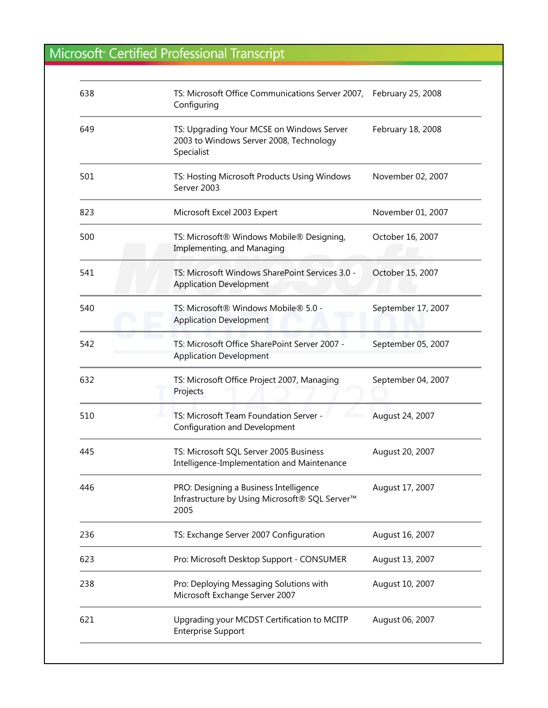| 638 | TS: Microsoft Office Communications Server 2007, February 25, 2008<br>Configuring                            |                    |
|-----|--------------------------------------------------------------------------------------------------------------|--------------------|
| 649 | TS: Upgrading Your MCSE on Windows Server<br>2003 to Windows Server 2008, Technology<br>Specialist           | February 18, 2008  |
| 501 | TS: Hosting Microsoft Products Using Windows<br>Server 2003                                                  | November 02, 2007  |
| 823 | Microsoft Excel 2003 Expert                                                                                  | November 01, 2007  |
| 500 | TS: Microsoft® Windows Mobile® Designing,<br>Implementing, and Managing                                      | October 16, 2007   |
| 541 | TS: Microsoft Windows SharePoint Services 3.0 -<br><b>Application Development</b>                            | October 15, 2007   |
| 540 | TS: Microsoft® Windows Mobile® 5.0 -<br><b>Application Development</b>                                       | September 17, 2007 |
| 542 | TS: Microsoft Office SharePoint Server 2007 -<br><b>Application Development</b>                              | September 05, 2007 |
| 632 | TS: Microsoft Office Project 2007, Managing<br>Projects                                                      | September 04, 2007 |
| 510 | TS: Microsoft Team Foundation Server -<br><b>Configuration and Development</b>                               | August 24, 2007    |
| 445 | TS: Microsoft SQL Server 2005 Business<br>Intelligence-Implementation and Maintenance                        | August 20, 2007    |
| 446 | PRO: Designing a Business Intelligence<br>Infrastructure by Using Microsoft® SQL Server <sup>™</sup><br>2005 | August 17, 2007    |
| 236 | TS: Exchange Server 2007 Configuration                                                                       | August 16, 2007    |
| 623 | Pro: Microsoft Desktop Support - CONSUMER                                                                    | August 13, 2007    |
| 238 | Pro: Deploying Messaging Solutions with<br>Microsoft Exchange Server 2007                                    | August 10, 2007    |
| 621 | Upgrading your MCDST Certification to MCITP<br><b>Enterprise Support</b>                                     | August 06, 2007    |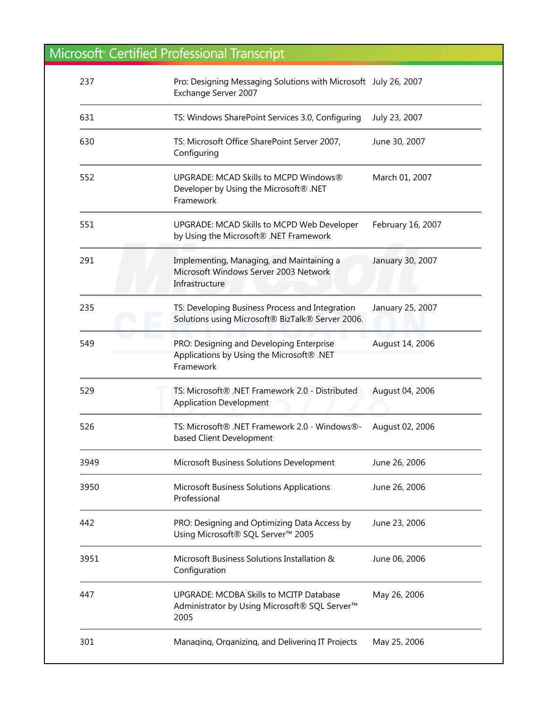| 237  | Pro: Designing Messaging Solutions with Microsoft July 26, 2007<br>Exchange Server 2007                      |                   |
|------|--------------------------------------------------------------------------------------------------------------|-------------------|
| 631  | TS: Windows SharePoint Services 3.0, Configuring                                                             | July 23, 2007     |
| 630  | TS: Microsoft Office SharePoint Server 2007,<br>Configuring                                                  | June 30, 2007     |
| 552  | UPGRADE: MCAD Skills to MCPD Windows®<br>Developer by Using the Microsoft® .NET<br>Framework                 | March 01, 2007    |
| 551  | UPGRADE: MCAD Skills to MCPD Web Developer<br>by Using the Microsoft® .NET Framework                         | February 16, 2007 |
| 291  | Implementing, Managing, and Maintaining a<br>Microsoft Windows Server 2003 Network<br>Infrastructure         | January 30, 2007  |
| 235  | TS: Developing Business Process and Integration<br>Solutions using Microsoft® BizTalk® Server 2006.          | January 25, 2007  |
| 549  | PRO: Designing and Developing Enterprise<br>Applications by Using the Microsoft® .NET<br>Framework           | August 14, 2006   |
| 529  | TS: Microsoft® .NET Framework 2.0 - Distributed<br><b>Application Development</b>                            | August 04, 2006   |
| 526  | TS: Microsoft® .NET Framework 2.0 - Windows®-<br>based Client Development                                    | August 02, 2006   |
| 3949 | Microsoft Business Solutions Development                                                                     | June 26, 2006     |
| 3950 | Microsoft Business Solutions Applications<br>Professional                                                    | June 26, 2006     |
| 442  | PRO: Designing and Optimizing Data Access by<br>Using Microsoft® SQL Server™ 2005                            | June 23, 2006     |
| 3951 | Microsoft Business Solutions Installation &<br>Configuration                                                 | June 06, 2006     |
| 447  | UPGRADE: MCDBA Skills to MCITP Database<br>Administrator by Using Microsoft® SQL Server <sup>™</sup><br>2005 | May 26, 2006      |
| 301  | Managing, Organizing, and Delivering IT Projects                                                             | May 25, 2006      |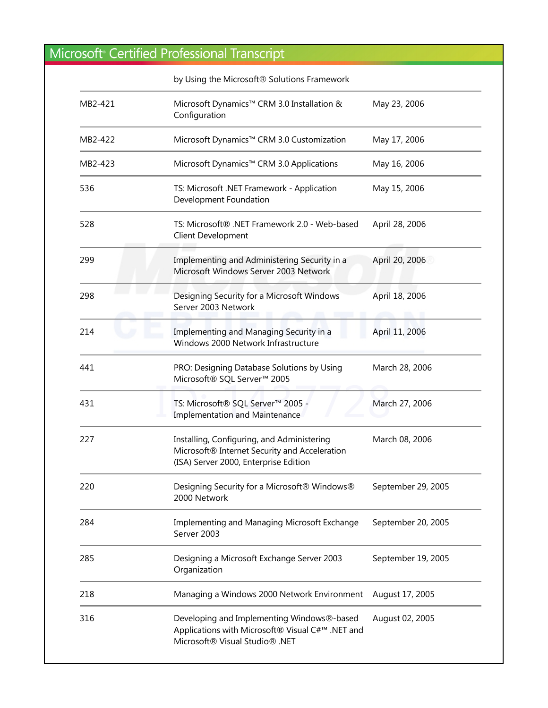|         | by Using the Microsoft® Solutions Framework                                                                                          |                    |
|---------|--------------------------------------------------------------------------------------------------------------------------------------|--------------------|
| MB2-421 | Microsoft Dynamics™ CRM 3.0 Installation &<br>Configuration                                                                          | May 23, 2006       |
| MB2-422 | Microsoft Dynamics™ CRM 3.0 Customization                                                                                            | May 17, 2006       |
| MB2-423 | Microsoft Dynamics™ CRM 3.0 Applications                                                                                             | May 16, 2006       |
| 536     | TS: Microsoft .NET Framework - Application<br>Development Foundation                                                                 | May 15, 2006       |
| 528     | TS: Microsoft® .NET Framework 2.0 - Web-based<br>Client Development                                                                  | April 28, 2006     |
| 299     | Implementing and Administering Security in a<br>Microsoft Windows Server 2003 Network                                                | April 20, 2006     |
| 298     | Designing Security for a Microsoft Windows<br>Server 2003 Network                                                                    | April 18, 2006     |
| 214     | Implementing and Managing Security in a<br>Windows 2000 Network Infrastructure                                                       | April 11, 2006     |
| 441     | PRO: Designing Database Solutions by Using<br>Microsoft® SQL Server™ 2005                                                            | March 28, 2006     |
| 431     | TS: Microsoft® SQL Server™ 2005 -<br><b>Implementation and Maintenance</b>                                                           | March 27, 2006     |
| 227     | Installing, Configuring, and Administering<br>Microsoft® Internet Security and Acceleration<br>(ISA) Server 2000, Enterprise Edition | March 08, 2006     |
| 220     | Designing Security for a Microsoft® Windows®<br>2000 Network                                                                         | September 29, 2005 |
| 284     | Implementing and Managing Microsoft Exchange<br>Server 2003                                                                          | September 20, 2005 |
| 285     | Designing a Microsoft Exchange Server 2003<br>Organization                                                                           | September 19, 2005 |
| 218     | Managing a Windows 2000 Network Environment                                                                                          | August 17, 2005    |
| 316     | Developing and Implementing Windows®-based<br>Applications with Microsoft® Visual C#™ .NET and<br>Microsoft® Visual Studio® .NET     | August 02, 2005    |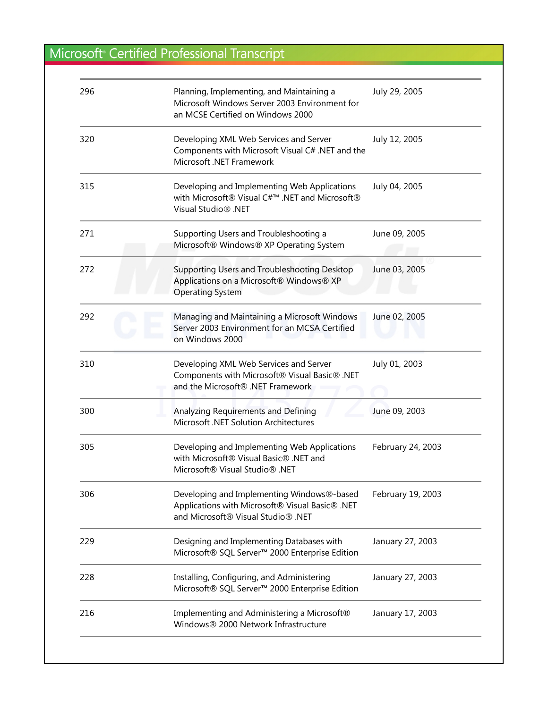| 296 | Planning, Implementing, and Maintaining a<br>Microsoft Windows Server 2003 Environment for<br>an MCSE Certified on Windows 2000     | July 29, 2005     |
|-----|-------------------------------------------------------------------------------------------------------------------------------------|-------------------|
| 320 | Developing XML Web Services and Server<br>Components with Microsoft Visual C# .NET and the<br>Microsoft .NET Framework              | July 12, 2005     |
| 315 | Developing and Implementing Web Applications<br>with Microsoft® Visual C#™ .NET and Microsoft®<br>Visual Studio <sup>®</sup> .NET   | July 04, 2005     |
| 271 | Supporting Users and Troubleshooting a<br>Microsoft® Windows® XP Operating System                                                   | June 09, 2005     |
| 272 | Supporting Users and Troubleshooting Desktop<br>Applications on a Microsoft® Windows® XP<br><b>Operating System</b>                 | June 03, 2005     |
| 292 | Managing and Maintaining a Microsoft Windows<br>Server 2003 Environment for an MCSA Certified<br>on Windows 2000                    | June 02, 2005     |
| 310 | Developing XML Web Services and Server<br>Components with Microsoft® Visual Basic® .NET<br>and the Microsoft® .NET Framework        | July 01, 2003     |
| 300 | Analyzing Requirements and Defining<br>Microsoft .NET Solution Architectures                                                        | June 09, 2003     |
| 305 | Developing and Implementing Web Applications<br>with Microsoft® Visual Basic® .NET and<br>Microsoft® Visual Studio® .NET            | February 24, 2003 |
| 306 | Developing and Implementing Windows®-based<br>Applications with Microsoft® Visual Basic® .NET<br>and Microsoft® Visual Studio® .NET | February 19, 2003 |
| 229 | Designing and Implementing Databases with<br>Microsoft® SQL Server™ 2000 Enterprise Edition                                         | January 27, 2003  |
| 228 | Installing, Configuring, and Administering<br>Microsoft® SQL Server™ 2000 Enterprise Edition                                        | January 27, 2003  |
| 216 | Implementing and Administering a Microsoft®<br>Windows® 2000 Network Infrastructure                                                 | January 17, 2003  |